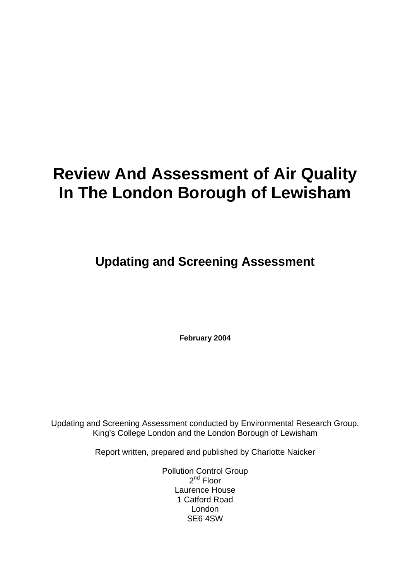# **Review And Assessment of Air Quality In The London Borough of Lewisham**

**Updating and Screening Assessment**

**February 2004**

Updating and Screening Assessment conducted by Environmental Research Group, King's College London and the London Borough of Lewisham

Report written, prepared and published by Charlotte Naicker

Pollution Control Group  $2^{nd}$  Floor Laurence House 1 Catford Road London SE6 4SW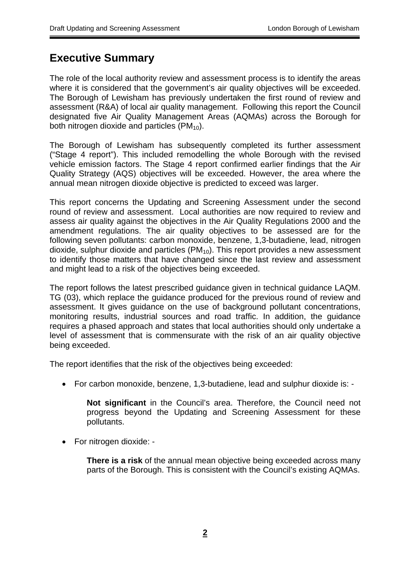## **Executive Summary**

The role of the local authority review and assessment process is to identify the areas where it is considered that the government's air quality objectives will be exceeded. The Borough of Lewisham has previously undertaken the first round of review and assessment (R&A) of local air quality management. Following this report the Council designated five Air Quality Management Areas (AQMAs) across the Borough for both nitrogen dioxide and particles  $(PM_{10})$ .

The Borough of Lewisham has subsequently completed its further assessment ("Stage 4 report"). This included remodelling the whole Borough with the revised vehicle emission factors. The Stage 4 report confirmed earlier findings that the Air Quality Strategy (AQS) objectives will be exceeded. However, the area where the annual mean nitrogen dioxide objective is predicted to exceed was larger.

This report concerns the Updating and Screening Assessment under the second round of review and assessment. Local authorities are now required to review and assess air quality against the objectives in the Air Quality Regulations 2000 and the amendment regulations. The air quality objectives to be assessed are for the following seven pollutants: carbon monoxide, benzene, 1,3-butadiene, lead, nitrogen dioxide, sulphur dioxide and particles ( $PM_{10}$ ). This report provides a new assessment to identify those matters that have changed since the last review and assessment and might lead to a risk of the objectives being exceeded.

The report follows the latest prescribed guidance given in technical guidance LAQM. TG (03), which replace the guidance produced for the previous round of review and assessment. It gives guidance on the use of background pollutant concentrations, monitoring results, industrial sources and road traffic. In addition, the guidance requires a phased approach and states that local authorities should only undertake a level of assessment that is commensurate with the risk of an air quality objective being exceeded.

The report identifies that the risk of the objectives being exceeded:

• For carbon monoxide, benzene, 1,3-butadiene, lead and sulphur dioxide is: -

**Not significant** in the Council's area. Therefore, the Council need not progress beyond the Updating and Screening Assessment for these pollutants.

• For nitrogen dioxide: -

**There is a risk** of the annual mean objective being exceeded across many parts of the Borough. This is consistent with the Council's existing AQMAs.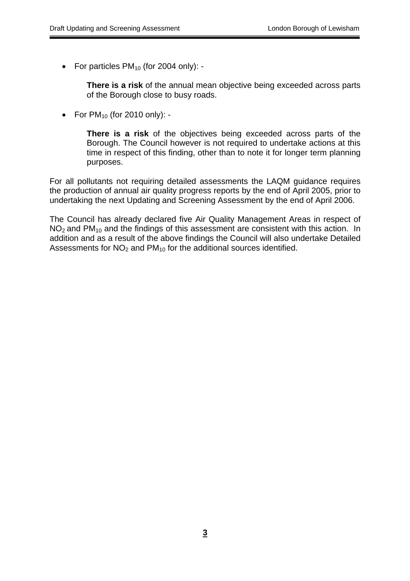• For particles  $PM_{10}$  (for 2004 only): -

**There is a risk** of the annual mean objective being exceeded across parts of the Borough close to busy roads.

• For  $PM_{10}$  (for 2010 only): -

**There is a risk** of the objectives being exceeded across parts of the Borough. The Council however is not required to undertake actions at this time in respect of this finding, other than to note it for longer term planning purposes.

For all pollutants not requiring detailed assessments the LAQM guidance requires the production of annual air quality progress reports by the end of April 2005, prior to undertaking the next Updating and Screening Assessment by the end of April 2006.

The Council has already declared five Air Quality Management Areas in respect of  $NO<sub>2</sub>$  and PM<sub>10</sub> and the findings of this assessment are consistent with this action. In addition and as a result of the above findings the Council will also undertake Detailed Assessments for  $NO<sub>2</sub>$  and  $PM<sub>10</sub>$  for the additional sources identified.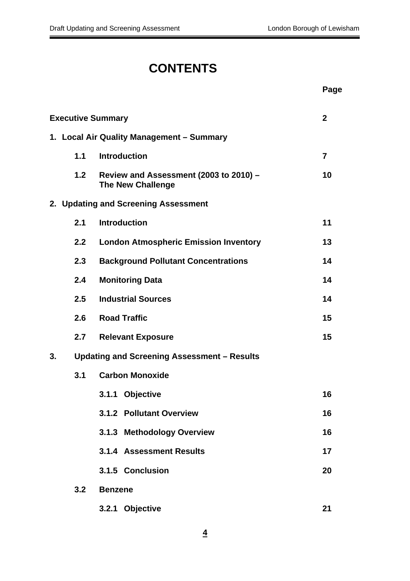# **CONTENTS**

|    |                          |                                                                    | Page           |
|----|--------------------------|--------------------------------------------------------------------|----------------|
|    | <b>Executive Summary</b> |                                                                    | $\mathbf{2}$   |
|    |                          | 1. Local Air Quality Management - Summary                          |                |
|    | 1.1                      | <b>Introduction</b>                                                | $\overline{7}$ |
|    | 1.2                      | Review and Assessment (2003 to 2010) -<br><b>The New Challenge</b> | 10             |
|    |                          | 2. Updating and Screening Assessment                               |                |
|    | 2.1                      | <b>Introduction</b>                                                | 11             |
|    | 2.2                      | <b>London Atmospheric Emission Inventory</b>                       | 13             |
|    | 2.3                      | <b>Background Pollutant Concentrations</b>                         | 14             |
|    | 2.4                      | <b>Monitoring Data</b>                                             | 14             |
|    | 2.5                      | <b>Industrial Sources</b>                                          | 14             |
|    | 2.6                      | <b>Road Traffic</b>                                                | 15             |
|    | 2.7                      | <b>Relevant Exposure</b>                                           | 15             |
| 3. |                          | Updating and Screening Assessment - Results                        |                |
|    | 3.1                      | <b>Carbon Monoxide</b>                                             |                |
|    |                          | 3.1.1 Objective                                                    | 16             |
|    |                          | 3.1.2 Pollutant Overview                                           | 16             |
|    |                          | 3.1.3 Methodology Overview                                         | 16             |
|    |                          | 3.1.4 Assessment Results                                           | 17             |
|    |                          | 3.1.5 Conclusion                                                   | 20             |
|    | 3.2                      | <b>Benzene</b>                                                     |                |
|    |                          | 3.2.1 Objective                                                    | 21             |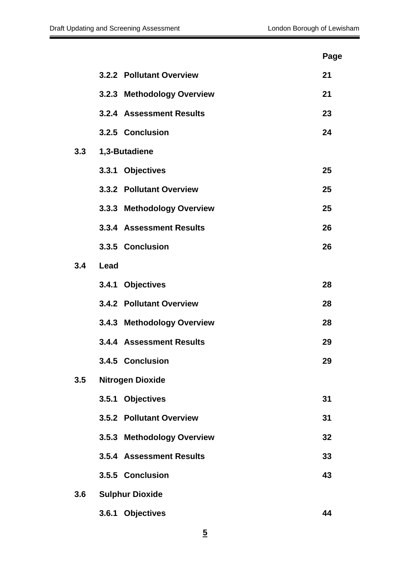|     |                            | Page |
|-----|----------------------------|------|
|     | 3.2.2 Pollutant Overview   | 21   |
|     | 3.2.3 Methodology Overview | 21   |
|     | 3.2.4 Assessment Results   | 23   |
|     | 3.2.5 Conclusion           | 24   |
| 3.3 | 1,3-Butadiene              |      |
|     | 3.3.1 Objectives           | 25   |
|     | 3.3.2 Pollutant Overview   | 25   |
|     | 3.3.3 Methodology Overview | 25   |
|     | 3.3.4 Assessment Results   | 26   |
|     | 3.3.5 Conclusion           | 26   |
| 3.4 | Lead                       |      |
|     | 3.4.1 Objectives           | 28   |
|     | 3.4.2 Pollutant Overview   | 28   |
|     | 3.4.3 Methodology Overview | 28   |
|     | 3.4.4 Assessment Results   | 29   |
|     | 3.4.5 Conclusion           | 29   |
| 3.5 | <b>Nitrogen Dioxide</b>    |      |
|     | 3.5.1 Objectives           | 31   |
|     | 3.5.2 Pollutant Overview   | 31   |
|     | 3.5.3 Methodology Overview | 32   |
|     | 3.5.4 Assessment Results   | 33   |
|     | 3.5.5 Conclusion           | 43   |
| 3.6 | <b>Sulphur Dioxide</b>     |      |
|     | 3.6.1 Objectives           | 44   |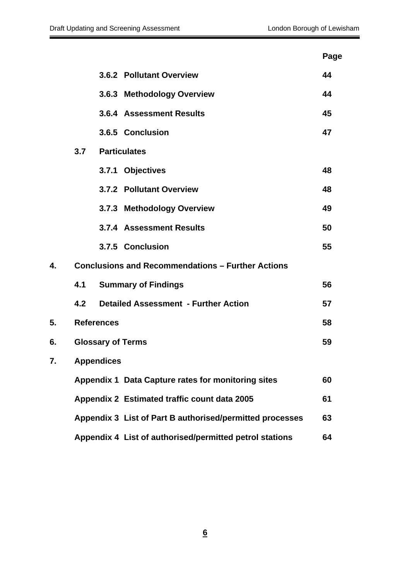|    |     |                                                          | Page |
|----|-----|----------------------------------------------------------|------|
|    |     | 3.6.2 Pollutant Overview                                 | 44   |
|    |     | 3.6.3 Methodology Overview                               | 44   |
|    |     | 3.6.4 Assessment Results                                 | 45   |
|    |     | 3.6.5 Conclusion                                         | 47   |
|    | 3.7 | <b>Particulates</b>                                      |      |
|    |     | 3.7.1 Objectives                                         | 48   |
|    |     | 3.7.2 Pollutant Overview                                 | 48   |
|    |     | 3.7.3 Methodology Overview                               | 49   |
|    |     | 3.7.4 Assessment Results                                 | 50   |
|    |     | 3.7.5 Conclusion                                         | 55   |
| 4. |     | <b>Conclusions and Recommendations - Further Actions</b> |      |
|    | 4.1 | <b>Summary of Findings</b>                               | 56   |
|    | 4.2 | <b>Detailed Assessment - Further Action</b>              | 57   |
| 5. |     | <b>References</b>                                        | 58   |
| 6. |     | <b>Glossary of Terms</b>                                 | 59   |
| 7. |     | <b>Appendices</b>                                        |      |
|    |     | Appendix 1 Data Capture rates for monitoring sites       | 60   |
|    |     | Appendix 2 Estimated traffic count data 2005             | 61   |
|    |     | Appendix 3 List of Part B authorised/permitted processes | 63   |
|    |     | Appendix 4 List of authorised/permitted petrol stations  | 64   |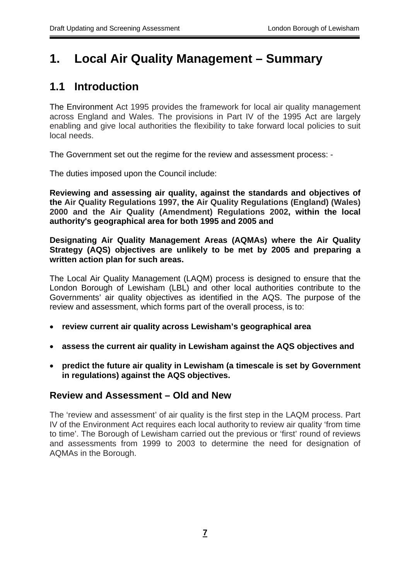# **1. Local Air Quality Management – Summary**

## **1.1 Introduction**

The Environment Act 1995 provides the framework for local air quality management across England and Wales. The provisions in Part IV of the 1995 Act are largely enabling and give local authorities the flexibility to take forward local policies to suit local needs.

The Government set out the regime for the review and assessment process: -

The duties imposed upon the Council include:

**Reviewing and assessing air quality, against the standards and objectives of the Air Quality Regulations 1997, the Air Quality Regulations (England) (Wales) 2000 and the Air Quality (Amendment) Regulations 2002, within the local authority's geographical area for both 1995 and 2005 and** 

**Designating Air Quality Management Areas (AQMAs) where the Air Quality Strategy (AQS) objectives are unlikely to be met by 2005 and preparing a written action plan for such areas.** 

The Local Air Quality Management (LAQM) process is designed to ensure that the London Borough of Lewisham (LBL) and other local authorities contribute to the Governments' air quality objectives as identified in the AQS. The purpose of the review and assessment, which forms part of the overall process, is to:

- **review current air quality across Lewisham's geographical area**
- **assess the current air quality in Lewisham against the AQS objectives and**
- **predict the future air quality in Lewisham (a timescale is set by Government in regulations) against the AQS objectives.**

## **Review and Assessment – Old and New**

The 'review and assessment' of air quality is the first step in the LAQM process. Part IV of the Environment Act requires each local authority to review air quality 'from time to time'. The Borough of Lewisham carried out the previous or 'first' round of reviews and assessments from 1999 to 2003 to determine the need for designation of AQMAs in the Borough.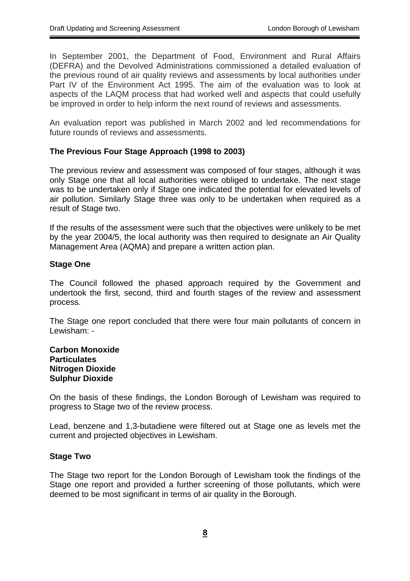In September 2001, the Department of Food, Environment and Rural Affairs (DEFRA) and the Devolved Administrations commissioned a detailed evaluation of the previous round of air quality reviews and assessments by local authorities under Part IV of the Environment Act 1995. The aim of the evaluation was to look at aspects of the LAQM process that had worked well and aspects that could usefully be improved in order to help inform the next round of reviews and assessments.

An evaluation report was published in March 2002 and led recommendations for future rounds of reviews and assessments.

#### **The Previous Four Stage Approach (1998 to 2003)**

The previous review and assessment was composed of four stages, although it was only Stage one that all local authorities were obliged to undertake. The next stage was to be undertaken only if Stage one indicated the potential for elevated levels of air pollution. Similarly Stage three was only to be undertaken when required as a result of Stage two.

If the results of the assessment were such that the objectives were unlikely to be met by the year 2004/5, the local authority was then required to designate an Air Quality Management Area (AQMA) and prepare a written action plan.

#### **Stage One**

The Council followed the phased approach required by the Government and undertook the first, second, third and fourth stages of the review and assessment process.

The Stage one report concluded that there were four main pollutants of concern in Lewisham: -

#### **Carbon Monoxide Particulates Nitrogen Dioxide Sulphur Dioxide**

On the basis of these findings, the London Borough of Lewisham was required to progress to Stage two of the review process.

Lead, benzene and 1,3-butadiene were filtered out at Stage one as levels met the current and projected objectives in Lewisham.

#### **Stage Two**

The Stage two report for the London Borough of Lewisham took the findings of the Stage one report and provided a further screening of those pollutants, which were deemed to be most significant in terms of air quality in the Borough.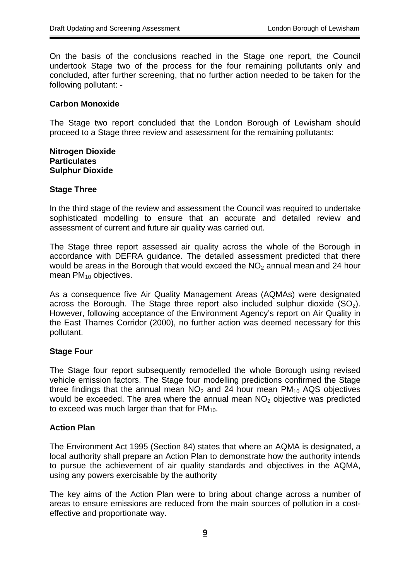On the basis of the conclusions reached in the Stage one report, the Council undertook Stage two of the process for the four remaining pollutants only and concluded, after further screening, that no further action needed to be taken for the following pollutant: -

#### **Carbon Monoxide**

The Stage two report concluded that the London Borough of Lewisham should proceed to a Stage three review and assessment for the remaining pollutants:

#### **Nitrogen Dioxide Particulates Sulphur Dioxide**

#### **Stage Three**

In the third stage of the review and assessment the Council was required to undertake sophisticated modelling to ensure that an accurate and detailed review and assessment of current and future air quality was carried out.

The Stage three report assessed air quality across the whole of the Borough in accordance with DEFRA guidance. The detailed assessment predicted that there would be areas in the Borough that would exceed the  $NO<sub>2</sub>$  annual mean and 24 hour mean  $PM_{10}$  objectives.

As a consequence five Air Quality Management Areas (AQMAs) were designated across the Borough. The Stage three report also included sulphur dioxide  $(SO<sub>2</sub>)$ . However, following acceptance of the Environment Agency's report on Air Quality in the East Thames Corridor (2000), no further action was deemed necessary for this pollutant.

#### **Stage Four**

The Stage four report subsequently remodelled the whole Borough using revised vehicle emission factors. The Stage four modelling predictions confirmed the Stage three findings that the annual mean  $NO<sub>2</sub>$  and 24 hour mean  $PM<sub>10</sub>$  AQS objectives would be exceeded. The area where the annual mean  $NO<sub>2</sub>$  objective was predicted to exceed was much larger than that for  $PM_{10}$ .

#### **Action Plan**

The Environment Act 1995 (Section 84) states that where an AQMA is designated, a local authority shall prepare an Action Plan to demonstrate how the authority intends to pursue the achievement of air quality standards and objectives in the AQMA, using any powers exercisable by the authority

The key aims of the Action Plan were to bring about change across a number of areas to ensure emissions are reduced from the main sources of pollution in a costeffective and proportionate way.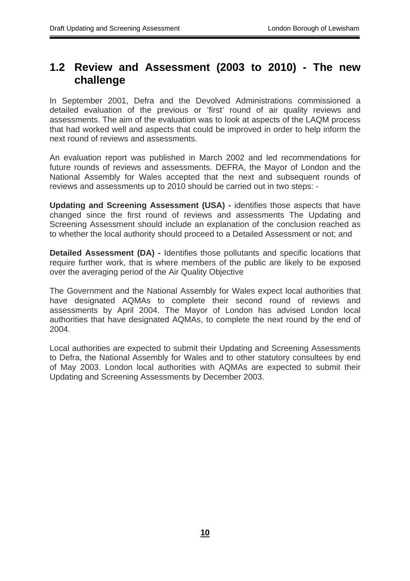## **1.2 Review and Assessment (2003 to 2010) - The new challenge**

In September 2001, Defra and the Devolved Administrations commissioned a detailed evaluation of the previous or 'first' round of air quality reviews and assessments. The aim of the evaluation was to look at aspects of the LAQM process that had worked well and aspects that could be improved in order to help inform the next round of reviews and assessments.

An evaluation report was published in March 2002 and led recommendations for future rounds of reviews and assessments. DEFRA, the Mayor of London and the National Assembly for Wales accepted that the next and subsequent rounds of reviews and assessments up to 2010 should be carried out in two steps: -

**Updating and Screening Assessment (USA) -** identifies those aspects that have changed since the first round of reviews and assessments The Updating and Screening Assessment should include an explanation of the conclusion reached as to whether the local authority should proceed to a Detailed Assessment or not; and

**Detailed Assessment (DA) -** Identifies those pollutants and specific locations that require further work, that is where members of the public are likely to be exposed over the averaging period of the Air Quality Objective

The Government and the National Assembly for Wales expect local authorities that have designated AQMAs to complete their second round of reviews and assessments by April 2004. The Mayor of London has advised London local authorities that have designated AQMAs, to complete the next round by the end of 2004.

Local authorities are expected to submit their Updating and Screening Assessments to Defra, the National Assembly for Wales and to other statutory consultees by end of May 2003. London local authorities with AQMAs are expected to submit their Updating and Screening Assessments by December 2003.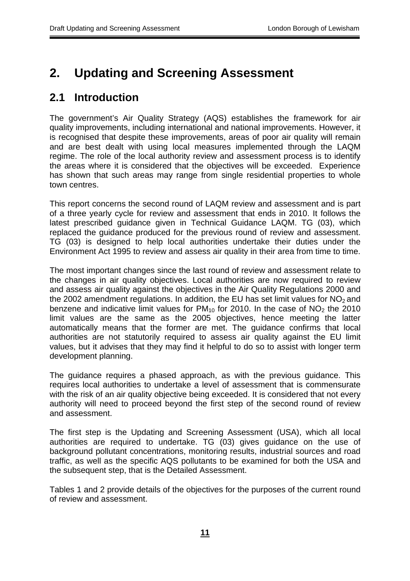# **2. Updating and Screening Assessment**

## **2.1 Introduction**

The government's Air Quality Strategy (AQS) establishes the framework for air quality improvements, including international and national improvements. However, it is recognised that despite these improvements, areas of poor air quality will remain and are best dealt with using local measures implemented through the LAQM regime. The role of the local authority review and assessment process is to identify the areas where it is considered that the objectives will be exceeded. Experience has shown that such areas may range from single residential properties to whole town centres.

This report concerns the second round of LAQM review and assessment and is part of a three yearly cycle for review and assessment that ends in 2010. It follows the latest prescribed guidance given in Technical Guidance LAQM. TG (03), which replaced the guidance produced for the previous round of review and assessment. TG (03) is designed to help local authorities undertake their duties under the Environment Act 1995 to review and assess air quality in their area from time to time.

The most important changes since the last round of review and assessment relate to the changes in air quality objectives. Local authorities are now required to review and assess air quality against the objectives in the Air Quality Regulations 2000 and the 2002 amendment regulations. In addition, the EU has set limit values for  $NO<sub>2</sub>$  and benzene and indicative limit values for  $PM_{10}$  for 2010. In the case of  $NO<sub>2</sub>$  the 2010 limit values are the same as the 2005 objectives, hence meeting the latter automatically means that the former are met. The guidance confirms that local authorities are not statutorily required to assess air quality against the EU limit values, but it advises that they may find it helpful to do so to assist with longer term development planning.

The guidance requires a phased approach, as with the previous guidance. This requires local authorities to undertake a level of assessment that is commensurate with the risk of an air quality objective being exceeded. It is considered that not every authority will need to proceed beyond the first step of the second round of review and assessment.

The first step is the Updating and Screening Assessment (USA), which all local authorities are required to undertake. TG (03) gives guidance on the use of background pollutant concentrations, monitoring results, industrial sources and road traffic, as well as the specific AQS pollutants to be examined for both the USA and the subsequent step, that is the Detailed Assessment.

Tables 1 and 2 provide details of the objectives for the purposes of the current round of review and assessment.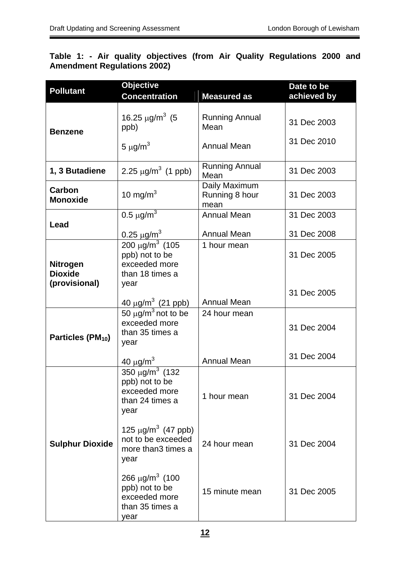### **Table 1: - Air quality objectives (from Air Quality Regulations 2000 and Amendment Regulations 2002)**

| <b>Pollutant</b>                  | <b>Objective</b><br><b>Concentration</b>                                                      | <b>Measured as</b>                      | Date to be<br>achieved by |
|-----------------------------------|-----------------------------------------------------------------------------------------------|-----------------------------------------|---------------------------|
| <b>Benzene</b>                    | 16.25 $\mu$ g/m <sup>3</sup> (5<br>ppb)                                                       | <b>Running Annual</b><br>Mean           | 31 Dec 2003               |
|                                   | 5 $\mu$ g/m <sup>3</sup>                                                                      | <b>Annual Mean</b>                      | 31 Dec 2010               |
| 1, 3 Butadiene                    | 2.25 $\mu$ g/m <sup>3</sup> (1 ppb)                                                           | <b>Running Annual</b><br>Mean           | 31 Dec 2003               |
| Carbon<br><b>Monoxide</b>         | 10 mg/m $3$                                                                                   | Daily Maximum<br>Running 8 hour<br>mean | 31 Dec 2003               |
| Lead                              | 0.5 $\mu$ g/m <sup>3</sup>                                                                    | <b>Annual Mean</b>                      | 31 Dec 2003               |
|                                   | 0.25 $\mu$ g/m <sup>3</sup>                                                                   | <b>Annual Mean</b>                      | 31 Dec 2008               |
| <b>Nitrogen</b><br><b>Dioxide</b> | 200 μg/m <sup>3</sup> (105<br>ppb) not to be<br>exceeded more<br>than 18 times a              | 1 hour mean                             | 31 Dec 2005               |
| (provisional)                     | year<br>40 $\mu$ g/m <sup>3</sup> (21 ppb)                                                    | <b>Annual Mean</b>                      | 31 Dec 2005               |
| Particles (PM <sub>10</sub> )     | 50 $\mu$ g/m <sup>3</sup> not to be<br>exceeded more<br>than 35 times a<br>year               | 24 hour mean                            | 31 Dec 2004               |
|                                   | 40 $\mu$ g/m <sup>3</sup>                                                                     | <b>Annual Mean</b>                      | 31 Dec 2004               |
|                                   | 350 $\mu$ g/m <sup>3</sup> (132<br>ppb) not to be<br>exceeded more<br>than 24 times a<br>year | 1 hour mean                             | 31 Dec 2004               |
| <b>Sulphur Dioxide</b>            | 125 $\mu$ g/m <sup>3</sup> (47 ppb)<br>not to be exceeded<br>more than3 times a<br>year       | 24 hour mean                            | 31 Dec 2004               |
|                                   | 266 $\mu$ g/m <sup>3</sup> (100<br>ppb) not to be<br>exceeded more<br>than 35 times a<br>year | 15 minute mean                          | 31 Dec 2005               |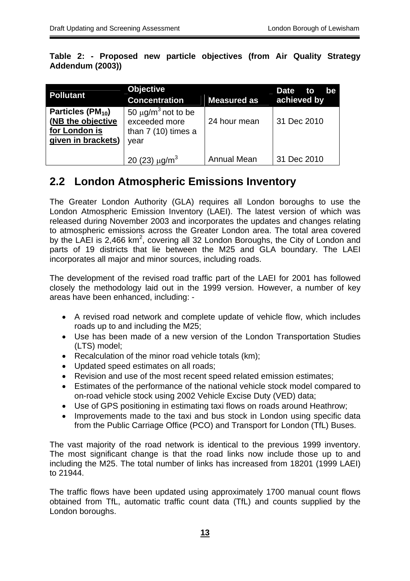**Table 2: - Proposed new particle objectives (from Air Quality Strategy Addendum (2003))** 

| <b>Pollutant</b>                                                                          | <b>Objective</b><br><b>Concentration</b>                                             | <b>Measured as</b> | <b>Date</b><br>to<br>be<br>achieved by |
|-------------------------------------------------------------------------------------------|--------------------------------------------------------------------------------------|--------------------|----------------------------------------|
| Particles (PM <sub>10</sub> )<br>(NB the objective<br>for London is<br>given in brackets) | 50 $\mu$ g/m <sup>3</sup> not to be<br>exceeded more<br>than $7(10)$ times a<br>year | 24 hour mean       | 31 Dec 2010                            |
|                                                                                           | 20 (23) $\mu$ g/m <sup>3</sup>                                                       | <b>Annual Mean</b> | 31 Dec 2010                            |

## **2.2 London Atmospheric Emissions Inventory**

The Greater London Authority (GLA) requires all London boroughs to use the London Atmospheric Emission Inventory (LAEI). The latest version of which was released during November 2003 and incorporates the updates and changes relating to atmospheric emissions across the Greater London area. The total area covered by the LAEI is 2,466 km<sup>2</sup>, covering all 32 London Boroughs, the City of London and parts of 19 districts that lie between the M25 and GLA boundary. The LAEI incorporates all major and minor sources, including roads.

The development of the revised road traffic part of the LAEI for 2001 has followed closely the methodology laid out in the 1999 version. However, a number of key areas have been enhanced, including: -

- A revised road network and complete update of vehicle flow, which includes roads up to and including the M25;
- Use has been made of a new version of the London Transportation Studies (LTS) model;
- Recalculation of the minor road vehicle totals (km);
- Updated speed estimates on all roads;
- Revision and use of the most recent speed related emission estimates;
- Estimates of the performance of the national vehicle stock model compared to on-road vehicle stock using 2002 Vehicle Excise Duty (VED) data;
- Use of GPS positioning in estimating taxi flows on roads around Heathrow;
- Improvements made to the taxi and bus stock in London using specific data from the Public Carriage Office (PCO) and Transport for London (TfL) Buses.

The vast majority of the road network is identical to the previous 1999 inventory. The most significant change is that the road links now include those up to and including the M25. The total number of links has increased from 18201 (1999 LAEI) to 21944.

The traffic flows have been updated using approximately 1700 manual count flows obtained from TfL, automatic traffic count data (TfL) and counts supplied by the London boroughs.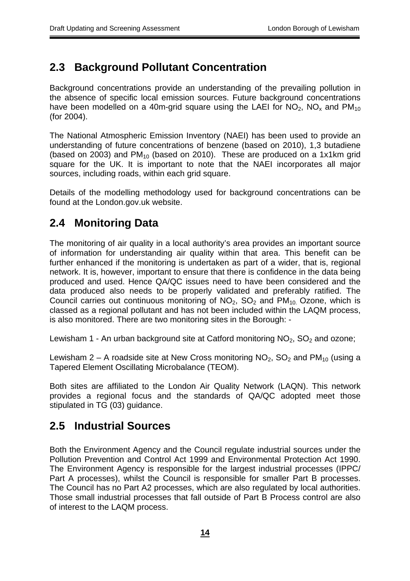## **2.3 Background Pollutant Concentration**

Background concentrations provide an understanding of the prevailing pollution in the absence of specific local emission sources. Future background concentrations have been modelled on a 40m-grid square using the LAEI for  $NO<sub>2</sub>$ ,  $NO<sub>x</sub>$  and  $PM<sub>10</sub>$ (for 2004).

The National Atmospheric Emission Inventory (NAEI) has been used to provide an understanding of future concentrations of benzene (based on 2010), 1,3 butadiene (based on 2003) and  $PM_{10}$  (based on 2010). These are produced on a 1x1km grid square for the UK. It is important to note that the NAEI incorporates all major sources, including roads, within each grid square.

Details of the modelling methodology used for background concentrations can be found at the London.gov.uk website.

## **2.4 Monitoring Data**

The monitoring of air quality in a local authority's area provides an important source of information for understanding air quality within that area. This benefit can be further enhanced if the monitoring is undertaken as part of a wider, that is, regional network. It is, however, important to ensure that there is confidence in the data being produced and used. Hence QA/QC issues need to have been considered and the data produced also needs to be properly validated and preferably ratified. The Council carries out continuous monitoring of  $NO<sub>2</sub>$ ,  $SO<sub>2</sub>$  and  $PM<sub>10</sub>$ . Ozone, which is classed as a regional pollutant and has not been included within the LAQM process, is also monitored. There are two monitoring sites in the Borough: -

Lewisham 1 - An urban background site at Catford monitoring  $NO<sub>2</sub>$ ,  $SO<sub>2</sub>$  and ozone;

Lewisham 2 – A roadside site at New Cross monitoring  $NO_2$ ,  $SO_2$  and  $PM_{10}$  (using a Tapered Element Oscillating Microbalance (TEOM).

Both sites are affiliated to the London Air Quality Network (LAQN). This network provides a regional focus and the standards of QA/QC adopted meet those stipulated in TG (03) guidance.

## **2.5 Industrial Sources**

Both the Environment Agency and the Council regulate industrial sources under the Pollution Prevention and Control Act 1999 and Environmental Protection Act 1990. The Environment Agency is responsible for the largest industrial processes (IPPC/ Part A processes), whilst the Council is responsible for smaller Part B processes. The Council has no Part A2 processes, which are also regulated by local authorities. Those small industrial processes that fall outside of Part B Process control are also of interest to the LAQM process.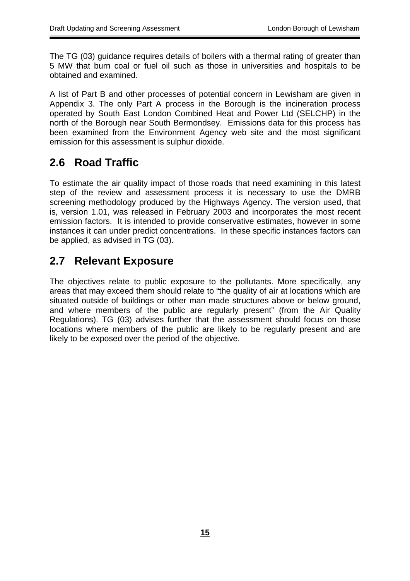The TG (03) guidance requires details of boilers with a thermal rating of greater than 5 MW that burn coal or fuel oil such as those in universities and hospitals to be obtained and examined.

A list of Part B and other processes of potential concern in Lewisham are given in Appendix 3. The only Part A process in the Borough is the incineration process operated by South East London Combined Heat and Power Ltd (SELCHP) in the north of the Borough near South Bermondsey. Emissions data for this process has been examined from the Environment Agency web site and the most significant emission for this assessment is sulphur dioxide.

## **2.6 Road Traffic**

To estimate the air quality impact of those roads that need examining in this latest step of the review and assessment process it is necessary to use the DMRB screening methodology produced by the Highways Agency. The version used, that is, version 1.01, was released in February 2003 and incorporates the most recent emission factors. It is intended to provide conservative estimates, however in some instances it can under predict concentrations. In these specific instances factors can be applied, as advised in TG (03).

## **2.7 Relevant Exposure**

The objectives relate to public exposure to the pollutants. More specifically, any areas that may exceed them should relate to "the quality of air at locations which are situated outside of buildings or other man made structures above or below ground, and where members of the public are regularly present" (from the Air Quality Regulations). TG (03) advises further that the assessment should focus on those locations where members of the public are likely to be regularly present and are likely to be exposed over the period of the objective.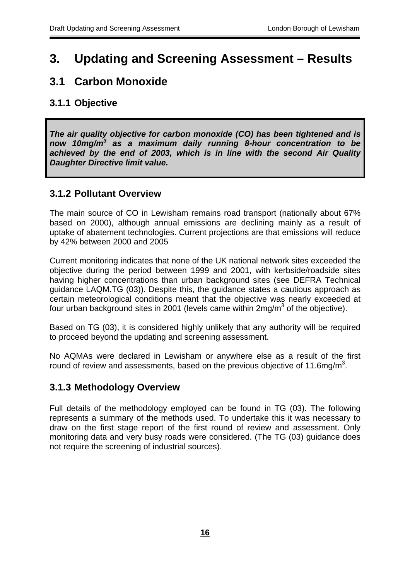# **3. Updating and Screening Assessment – Results**

## **3.1 Carbon Monoxide**

## **3.1.1 Objective**

*The air quality objective for carbon monoxide (CO) has been tightened and is now 10mg/m3 as a maximum daily running 8-hour concentration to be achieved by the end of 2003, which is in line with the second Air Quality Daughter Directive limit value.* 

## **3.1.2 Pollutant Overview**

The main source of CO in Lewisham remains road transport (nationally about 67% based on 2000), although annual emissions are declining mainly as a result of uptake of abatement technologies. Current projections are that emissions will reduce by 42% between 2000 and 2005

Current monitoring indicates that none of the UK national network sites exceeded the objective during the period between 1999 and 2001, with kerbside/roadside sites having higher concentrations than urban background sites (see DEFRA Technical guidance LAQM.TG (03)). Despite this, the guidance states a cautious approach as certain meteorological conditions meant that the objective was nearly exceeded at four urban background sites in 2001 (levels came within 2mg/m<sup>3</sup> of the objective).

Based on TG (03), it is considered highly unlikely that any authority will be required to proceed beyond the updating and screening assessment.

No AQMAs were declared in Lewisham or anywhere else as a result of the first round of review and assessments, based on the previous objective of 11.6mg/m<sup>3</sup>.

## **3.1.3 Methodology Overview**

Full details of the methodology employed can be found in TG (03). The following represents a summary of the methods used. To undertake this it was necessary to draw on the first stage report of the first round of review and assessment. Only monitoring data and very busy roads were considered. (The TG (03) guidance does not require the screening of industrial sources).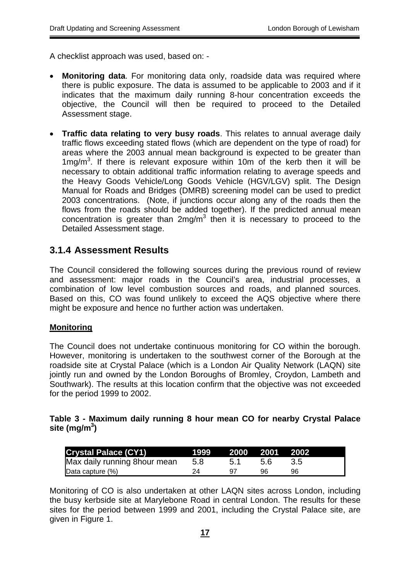A checklist approach was used, based on: -

- **Monitoring data**. For monitoring data only, roadside data was required where there is public exposure. The data is assumed to be applicable to 2003 and if it indicates that the maximum daily running 8-hour concentration exceeds the objective, the Council will then be required to proceed to the Detailed Assessment stage.
- **Traffic data relating to very busy roads**. This relates to annual average daily traffic flows exceeding stated flows (which are dependent on the type of road) for areas where the 2003 annual mean background is expected to be greater than 1mg/ $m<sup>3</sup>$ . If there is relevant exposure within 10m of the kerb then it will be necessary to obtain additional traffic information relating to average speeds and the Heavy Goods Vehicle/Long Goods Vehicle (HGV/LGV) split. The Design Manual for Roads and Bridges (DMRB) screening model can be used to predict 2003 concentrations. (Note, if junctions occur along any of the roads then the flows from the roads should be added together). If the predicted annual mean concentration is greater than  $2$ mg/m $3$  then it is necessary to proceed to the Detailed Assessment stage.

## **3.1.4 Assessment Results**

The Council considered the following sources during the previous round of review and assessment: major roads in the Council's area, industrial processes, a combination of low level combustion sources and roads, and planned sources. Based on this, CO was found unlikely to exceed the AQS objective where there might be exposure and hence no further action was undertaken.

#### **Monitoring**

The Council does not undertake continuous monitoring for CO within the borough. However, monitoring is undertaken to the southwest corner of the Borough at the roadside site at Crystal Palace (which is a London Air Quality Network (LAQN) site jointly run and owned by the London Boroughs of Bromley, Croydon, Lambeth and Southwark). The results at this location confirm that the objective was not exceeded for the period 1999 to 2002.

### **Table 3 - Maximum daily running 8 hour mean CO for nearby Crystal Palace site (mg/m3 )**

| <b>Crystal Palace (CY1)</b>   | 1999 | .2000 | $\blacksquare$ 2001 $\blacksquare$ | 2002 |
|-------------------------------|------|-------|------------------------------------|------|
| Max daily running 8 hour mean | 5.8  |       | 5.6                                |      |
| Data capture (%)              |      | Q7    | 96                                 | 96   |

Monitoring of CO is also undertaken at other LAQN sites across London, including the busy kerbside site at Marylebone Road in central London. The results for these sites for the period between 1999 and 2001, including the Crystal Palace site, are given in Figure 1.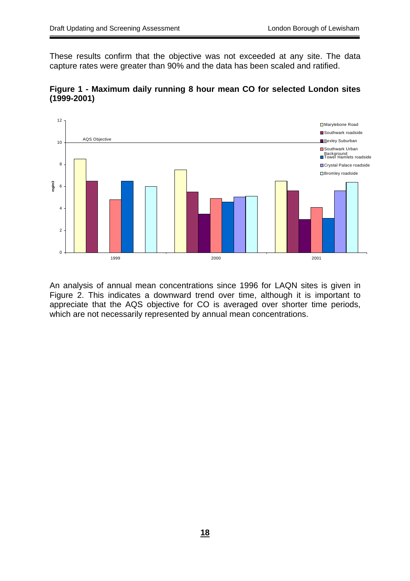These results confirm that the objective was not exceeded at any site. The data capture rates were greater than 90% and the data has been scaled and ratified.





An analysis of annual mean concentrations since 1996 for LAQN sites is given in Figure 2. This indicates a downward trend over time, although it is important to appreciate that the AQS objective for CO is averaged over shorter time periods, which are not necessarily represented by annual mean concentrations.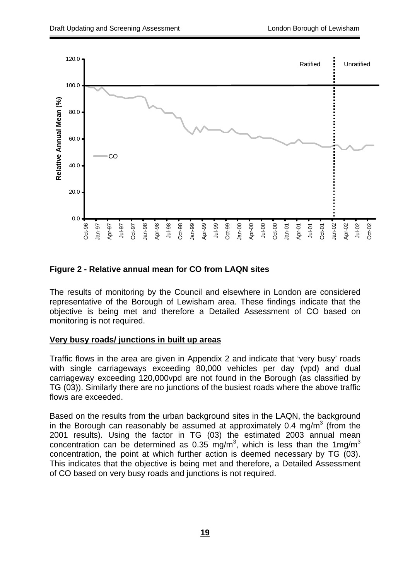

### **Figure 2 - Relative annual mean for CO from LAQN sites**

The results of monitoring by the Council and elsewhere in London are considered representative of the Borough of Lewisham area. These findings indicate that the objective is being met and therefore a Detailed Assessment of CO based on monitoring is not required.

#### **Very busy roads/ junctions in built up areas**

Traffic flows in the area are given in Appendix 2 and indicate that 'very busy' roads with single carriageways exceeding 80,000 vehicles per day (vpd) and dual carriageway exceeding 120,000vpd are not found in the Borough (as classified by TG (03)). Similarly there are no junctions of the busiest roads where the above traffic flows are exceeded.

Based on the results from the urban background sites in the LAQN, the background in the Borough can reasonably be assumed at approximately 0.4 mg/m $3$  (from the 2001 results). Using the factor in TG (03) the estimated 2003 annual mean concentration can be determined as 0.35 mg/m<sup>3</sup>, which is less than the 1mg/m<sup>3</sup> concentration, the point at which further action is deemed necessary by TG (03). This indicates that the objective is being met and therefore, a Detailed Assessment of CO based on very busy roads and junctions is not required.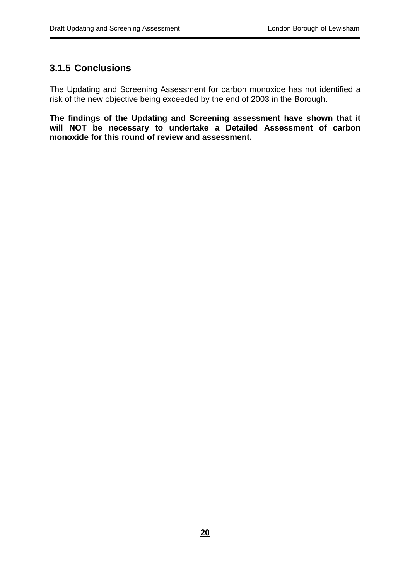## **3.1.5 Conclusions**

The Updating and Screening Assessment for carbon monoxide has not identified a risk of the new objective being exceeded by the end of 2003 in the Borough.

**The findings of the Updating and Screening assessment have shown that it will NOT be necessary to undertake a Detailed Assessment of carbon monoxide for this round of review and assessment.**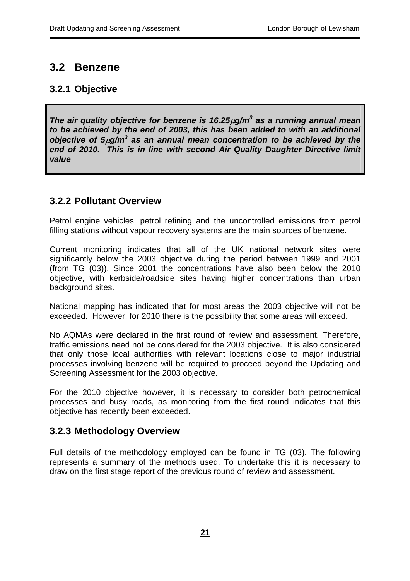## **3.2 Benzene**

## **3.2.1 Objective**

*The air quality objective for benzene is 16.25µg/m<sup>3</sup> as a running annual mean to be achieved by the end of 2003, this has been added to with an additional objective of 5*µ*g/m<sup>3</sup> as an annual mean concentration to be achieved by the end of 2010. This is in line with second Air Quality Daughter Directive limit value*

## **3.2.2 Pollutant Overview**

Petrol engine vehicles, petrol refining and the uncontrolled emissions from petrol filling stations without vapour recovery systems are the main sources of benzene.

Current monitoring indicates that all of the UK national network sites were significantly below the 2003 objective during the period between 1999 and 2001 (from TG (03)). Since 2001 the concentrations have also been below the 2010 objective, with kerbside/roadside sites having higher concentrations than urban background sites.

National mapping has indicated that for most areas the 2003 objective will not be exceeded. However, for 2010 there is the possibility that some areas will exceed.

No AQMAs were declared in the first round of review and assessment. Therefore, traffic emissions need not be considered for the 2003 objective. It is also considered that only those local authorities with relevant locations close to major industrial processes involving benzene will be required to proceed beyond the Updating and Screening Assessment for the 2003 objective.

For the 2010 objective however, it is necessary to consider both petrochemical processes and busy roads, as monitoring from the first round indicates that this objective has recently been exceeded.

## **3.2.3 Methodology Overview**

Full details of the methodology employed can be found in TG (03). The following represents a summary of the methods used. To undertake this it is necessary to draw on the first stage report of the previous round of review and assessment.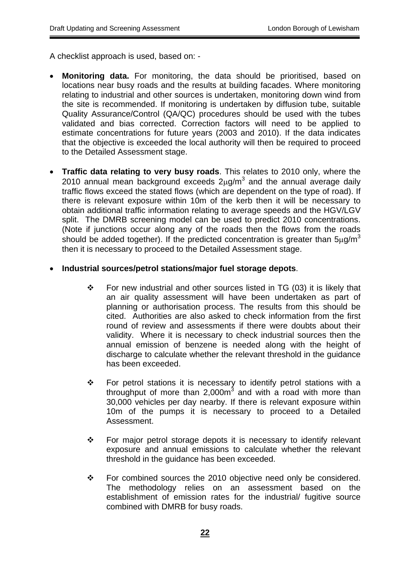A checklist approach is used, based on: -

- **Monitoring data.** For monitoring, the data should be prioritised, based on locations near busy roads and the results at building facades. Where monitoring relating to industrial and other sources is undertaken, monitoring down wind from the site is recommended. If monitoring is undertaken by diffusion tube, suitable Quality Assurance/Control (QA/QC) procedures should be used with the tubes validated and bias corrected. Correction factors will need to be applied to estimate concentrations for future years (2003 and 2010). If the data indicates that the objective is exceeded the local authority will then be required to proceed to the Detailed Assessment stage.
- **Traffic data relating to very busy roads**. This relates to 2010 only, where the 2010 annual mean background exceeds  $2\mu$ g/m<sup>3</sup> and the annual average daily traffic flows exceed the stated flows (which are dependent on the type of road). If there is relevant exposure within 10m of the kerb then it will be necessary to obtain additional traffic information relating to average speeds and the HGV/LGV split. The DMRB screening model can be used to predict 2010 concentrations. (Note if junctions occur along any of the roads then the flows from the roads should be added together). If the predicted concentration is greater than  $5\mu q/m^3$ then it is necessary to proceed to the Detailed Assessment stage.

#### • **Industrial sources/petrol stations/major fuel storage depots**.

- $\div$  For new industrial and other sources listed in TG (03) it is likely that an air quality assessment will have been undertaken as part of planning or authorisation process. The results from this should be cited. Authorities are also asked to check information from the first round of review and assessments if there were doubts about their validity. Where it is necessary to check industrial sources then the annual emission of benzene is needed along with the height of discharge to calculate whether the relevant threshold in the guidance has been exceeded.
- For petrol stations it is necessary to identify petrol stations with a throughput of more than 2,000 $m^3$  and with a road with more than 30,000 vehicles per day nearby. If there is relevant exposure within 10m of the pumps it is necessary to proceed to a Detailed Assessment.
- $\div$  For major petrol storage depots it is necessary to identify relevant exposure and annual emissions to calculate whether the relevant threshold in the guidance has been exceeded.
- \* For combined sources the 2010 objective need only be considered. The methodology relies on an assessment based on the establishment of emission rates for the industrial/ fugitive source combined with DMRB for busy roads.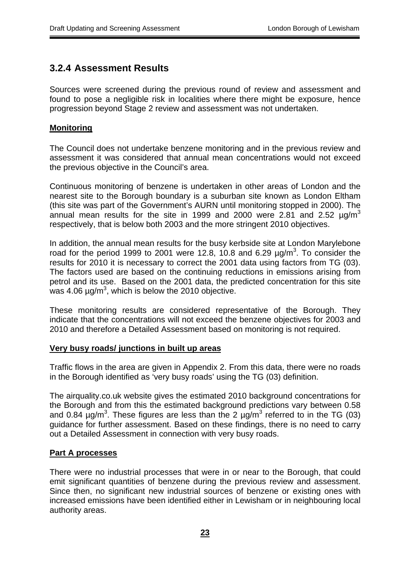## **3.2.4 Assessment Results**

Sources were screened during the previous round of review and assessment and found to pose a negligible risk in localities where there might be exposure, hence progression beyond Stage 2 review and assessment was not undertaken.

#### **Monitoring**

The Council does not undertake benzene monitoring and in the previous review and assessment it was considered that annual mean concentrations would not exceed the previous objective in the Council's area.

Continuous monitoring of benzene is undertaken in other areas of London and the nearest site to the Borough boundary is a suburban site known as London Eltham (this site was part of the Government's AURN until monitoring stopped in 2000). The annual mean results for the site in 1999 and 2000 were 2.81 and 2.52  $\mu q/m^3$ respectively, that is below both 2003 and the more stringent 2010 objectives.

In addition, the annual mean results for the busy kerbside site at London Marylebone road for the period 1999 to 2001 were 12.8, 10.8 and 6.29  $\mu$ g/m<sup>3</sup>. To consider the results for 2010 it is necessary to correct the 2001 data using factors from TG (03). The factors used are based on the continuing reductions in emissions arising from petrol and its use. Based on the 2001 data, the predicted concentration for this site was 4.06  $\mu$ g/m<sup>3</sup>, which is below the 2010 objective.

These monitoring results are considered representative of the Borough. They indicate that the concentrations will not exceed the benzene objectives for 2003 and 2010 and therefore a Detailed Assessment based on monitoring is not required.

#### **Very busy roads/ junctions in built up areas**

Traffic flows in the area are given in Appendix 2. From this data, there were no roads in the Borough identified as 'very busy roads' using the TG (03) definition.

The airquality.co.uk website gives the estimated 2010 background concentrations for the Borough and from this the estimated background predictions vary between 0.58 and 0.84  $\mu$ g/m<sup>3</sup>. These figures are less than the 2  $\mu$ g/m<sup>3</sup> referred to in the TG (03) guidance for further assessment. Based on these findings, there is no need to carry out a Detailed Assessment in connection with very busy roads.

#### **Part A processes**

There were no industrial processes that were in or near to the Borough, that could emit significant quantities of benzene during the previous review and assessment. Since then, no significant new industrial sources of benzene or existing ones with increased emissions have been identified either in Lewisham or in neighbouring local authority areas.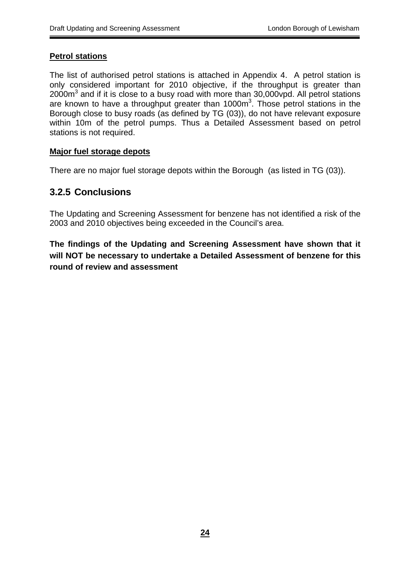### **Petrol stations**

The list of authorised petrol stations is attached in Appendix 4. A petrol station is only considered important for 2010 objective, if the throughput is greater than 2000 $\text{m}^3$  and if it is close to a busy road with more than 30,000 $\text{vpd}$ . All petrol stations are known to have a throughput greater than  $1000m<sup>3</sup>$ . Those petrol stations in the Borough close to busy roads (as defined by TG (03)), do not have relevant exposure within 10m of the petrol pumps. Thus a Detailed Assessment based on petrol stations is not required.

### **Major fuel storage depots**

There are no major fuel storage depots within the Borough (as listed in TG (03)).

## **3.2.5 Conclusions**

The Updating and Screening Assessment for benzene has not identified a risk of the 2003 and 2010 objectives being exceeded in the Council's area.

**The findings of the Updating and Screening Assessment have shown that it will NOT be necessary to undertake a Detailed Assessment of benzene for this round of review and assessment**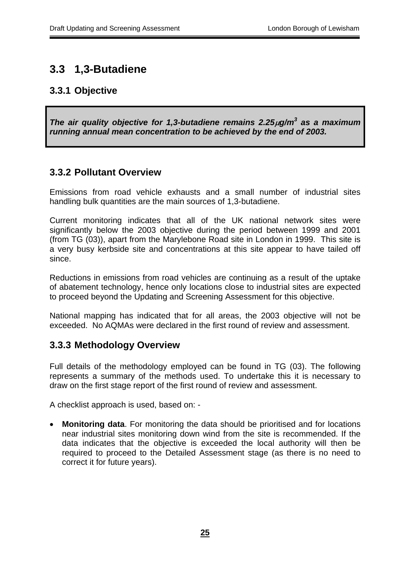## **3.3 1,3-Butadiene**

## **3.3.1 Objective**

*The air quality objective for 1,3-butadiene remains 2.25*µ*g/m<sup>3</sup> as a maximum running annual mean concentration to be achieved by the end of 2003.*

## **3.3.2 Pollutant Overview**

Emissions from road vehicle exhausts and a small number of industrial sites handling bulk quantities are the main sources of 1,3-butadiene.

Current monitoring indicates that all of the UK national network sites were significantly below the 2003 objective during the period between 1999 and 2001 (from TG (03)), apart from the Marylebone Road site in London in 1999. This site is a very busy kerbside site and concentrations at this site appear to have tailed off since.

Reductions in emissions from road vehicles are continuing as a result of the uptake of abatement technology, hence only locations close to industrial sites are expected to proceed beyond the Updating and Screening Assessment for this objective.

National mapping has indicated that for all areas, the 2003 objective will not be exceeded. No AQMAs were declared in the first round of review and assessment.

## **3.3.3 Methodology Overview**

Full details of the methodology employed can be found in TG (03). The following represents a summary of the methods used. To undertake this it is necessary to draw on the first stage report of the first round of review and assessment.

A checklist approach is used, based on: -

**Monitoring data**. For monitoring the data should be prioritised and for locations near industrial sites monitoring down wind from the site is recommended. If the data indicates that the objective is exceeded the local authority will then be required to proceed to the Detailed Assessment stage (as there is no need to correct it for future years).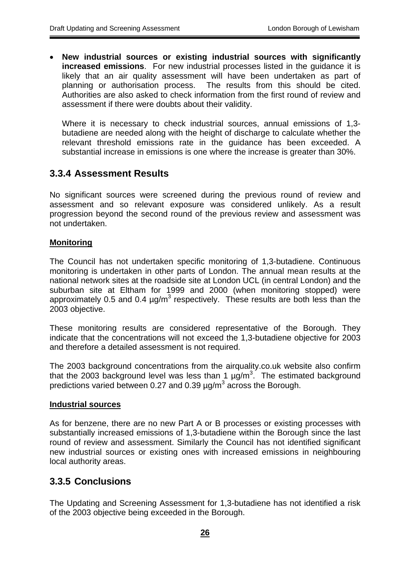• **New industrial sources or existing industrial sources with significantly increased emissions**. For new industrial processes listed in the guidance it is likely that an air quality assessment will have been undertaken as part of planning or authorisation process. The results from this should be cited. Authorities are also asked to check information from the first round of review and assessment if there were doubts about their validity.

Where it is necessary to check industrial sources, annual emissions of 1,3 butadiene are needed along with the height of discharge to calculate whether the relevant threshold emissions rate in the guidance has been exceeded. A substantial increase in emissions is one where the increase is greater than 30%.

## **3.3.4 Assessment Results**

No significant sources were screened during the previous round of review and assessment and so relevant exposure was considered unlikely. As a result progression beyond the second round of the previous review and assessment was not undertaken.

#### **Monitoring**

The Council has not undertaken specific monitoring of 1,3-butadiene. Continuous monitoring is undertaken in other parts of London. The annual mean results at the national network sites at the roadside site at London UCL (in central London) and the suburban site at Eltham for 1999 and 2000 (when monitoring stopped) were approximately 0.5 and 0.4  $\mu$ g/m<sup>3</sup> respectively. These results are both less than the 2003 objective.

These monitoring results are considered representative of the Borough. They indicate that the concentrations will not exceed the 1,3-butadiene objective for 2003 and therefore a detailed assessment is not required.

The 2003 background concentrations from the airquality.co.uk website also confirm that the 2003 background level was less than 1  $\mu$ g/m<sup>3</sup>. The estimated background predictions varied between 0.27 and 0.39  $\mu$ g/m<sup>3</sup> across the Borough.

#### **Industrial sources**

As for benzene, there are no new Part A or B processes or existing processes with substantially increased emissions of 1,3-butadiene within the Borough since the last round of review and assessment. Similarly the Council has not identified significant new industrial sources or existing ones with increased emissions in neighbouring local authority areas.

## **3.3.5 Conclusions**

The Updating and Screening Assessment for 1,3-butadiene has not identified a risk of the 2003 objective being exceeded in the Borough.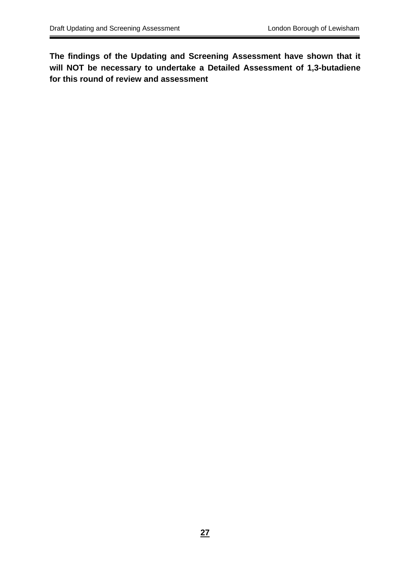**The findings of the Updating and Screening Assessment have shown that it will NOT be necessary to undertake a Detailed Assessment of 1,3-butadiene for this round of review and assessment**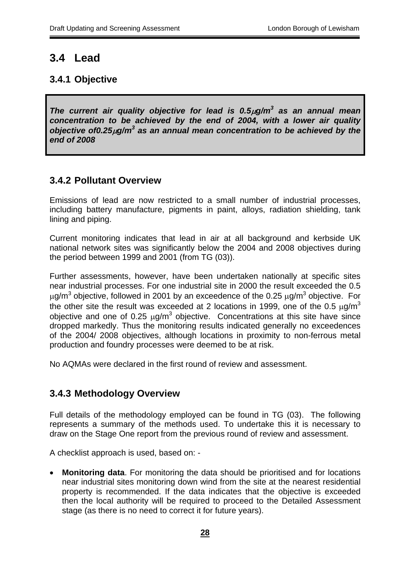## **3.4 Lead**

## **3.4.1 Objective**

*The current air quality objective for lead is 0.5*µ*g/m<sup>3</sup> as an annual mean concentration to be achieved by the end of 2004, with a lower air quality objective of0.25µg/m<sup>3</sup> as an annual mean concentration to be achieved by the end of 2008*

## **3.4.2 Pollutant Overview**

Emissions of lead are now restricted to a small number of industrial processes, including battery manufacture, pigments in paint, alloys, radiation shielding, tank lining and piping.

Current monitoring indicates that lead in air at all background and kerbside UK national network sites was significantly below the 2004 and 2008 objectives during the period between 1999 and 2001 (from TG (03)).

Further assessments, however, have been undertaken nationally at specific sites near industrial processes. For one industrial site in 2000 the result exceeded the 0.5  $\mu$ g/m<sup>3</sup> objective, followed in 2001 by an exceedence of the 0.25  $\mu$ g/m<sup>3</sup> objective. For the other site the result was exceeded at 2 locations in 1999, one of the 0.5  $\mu$ g/m<sup>3</sup> objective and one of 0.25  $\mu$ g/m<sup>3</sup> objective. Concentrations at this site have since dropped markedly. Thus the monitoring results indicated generally no exceedences of the 2004/ 2008 objectives, although locations in proximity to non-ferrous metal production and foundry processes were deemed to be at risk.

No AQMAs were declared in the first round of review and assessment.

## **3.4.3 Methodology Overview**

Full details of the methodology employed can be found in TG (03). The following represents a summary of the methods used. To undertake this it is necessary to draw on the Stage One report from the previous round of review and assessment.

A checklist approach is used, based on: -

• **Monitoring data**. For monitoring the data should be prioritised and for locations near industrial sites monitoring down wind from the site at the nearest residential property is recommended. If the data indicates that the objective is exceeded then the local authority will be required to proceed to the Detailed Assessment stage (as there is no need to correct it for future years).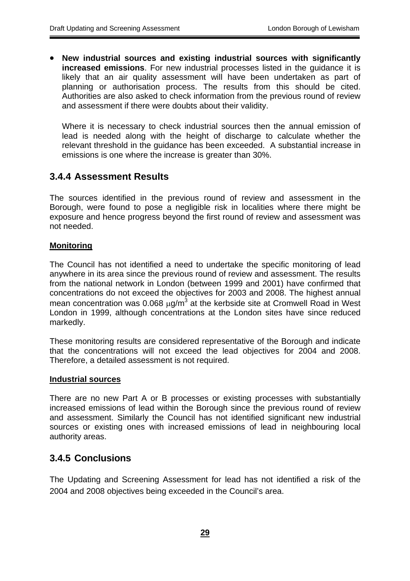• **New industrial sources and existing industrial sources with significantly increased emissions**. For new industrial processes listed in the guidance it is likely that an air quality assessment will have been undertaken as part of planning or authorisation process. The results from this should be cited. Authorities are also asked to check information from the previous round of review and assessment if there were doubts about their validity.

Where it is necessary to check industrial sources then the annual emission of lead is needed along with the height of discharge to calculate whether the relevant threshold in the guidance has been exceeded. A substantial increase in emissions is one where the increase is greater than 30%.

## **3.4.4 Assessment Results**

The sources identified in the previous round of review and assessment in the Borough, were found to pose a negligible risk in localities where there might be exposure and hence progress beyond the first round of review and assessment was not needed.

### **Monitoring**

The Council has not identified a need to undertake the specific monitoring of lead anywhere in its area since the previous round of review and assessment. The results from the national network in London (between 1999 and 2001) have confirmed that concentrations do not exceed the objectives for 2003 and 2008. The highest annual mean concentration was 0.068  $\mu$ g/m<sup>3</sup> at the kerbside site at Cromwell Road in West London in 1999, although concentrations at the London sites have since reduced markedly.

These monitoring results are considered representative of the Borough and indicate that the concentrations will not exceed the lead objectives for 2004 and 2008. Therefore, a detailed assessment is not required.

#### **Industrial sources**

There are no new Part A or B processes or existing processes with substantially increased emissions of lead within the Borough since the previous round of review and assessment. Similarly the Council has not identified significant new industrial sources or existing ones with increased emissions of lead in neighbouring local authority areas.

## **3.4.5 Conclusions**

The Updating and Screening Assessment for lead has not identified a risk of the 2004 and 2008 objectives being exceeded in the Council's area.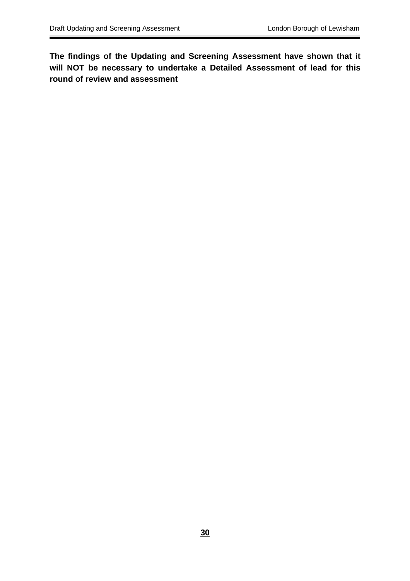**The findings of the Updating and Screening Assessment have shown that it will NOT be necessary to undertake a Detailed Assessment of lead for this round of review and assessment**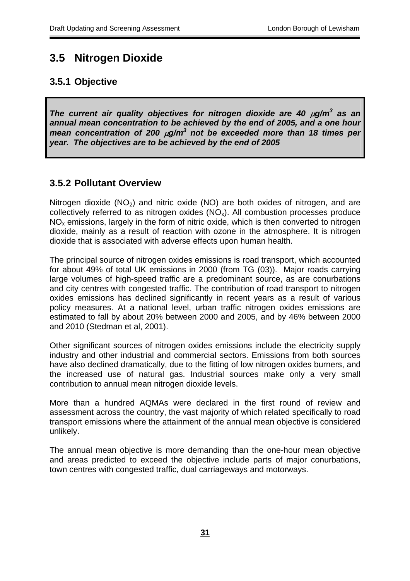## **3.5 Nitrogen Dioxide**

## **3.5.1 Objective**

*The current air quality objectives for nitrogen dioxide are 40*  $\mu$ *g/m<sup>3</sup> as an annual mean concentration to be achieved by the end of 2005, and a one hour mean concentration of 200* µ*g/m<sup>3</sup> not be exceeded more than 18 times per year. The objectives are to be achieved by the end of 2005*

## **3.5.2 Pollutant Overview**

Nitrogen dioxide  $(NO<sub>2</sub>)$  and nitric oxide  $(NO)$  are both oxides of nitrogen, and are collectively referred to as nitrogen oxides  $(NO<sub>x</sub>)$ . All combustion processes produce  $NO<sub>x</sub>$  emissions, largely in the form of nitric oxide, which is then converted to nitrogen dioxide, mainly as a result of reaction with ozone in the atmosphere. It is nitrogen dioxide that is associated with adverse effects upon human health.

The principal source of nitrogen oxides emissions is road transport, which accounted for about 49% of total UK emissions in 2000 (from TG (03)). Major roads carrying large volumes of high-speed traffic are a predominant source, as are conurbations and city centres with congested traffic. The contribution of road transport to nitrogen oxides emissions has declined significantly in recent years as a result of various policy measures. At a national level, urban traffic nitrogen oxides emissions are estimated to fall by about 20% between 2000 and 2005, and by 46% between 2000 and 2010 (Stedman et al, 2001).

Other significant sources of nitrogen oxides emissions include the electricity supply industry and other industrial and commercial sectors. Emissions from both sources have also declined dramatically, due to the fitting of low nitrogen oxides burners, and the increased use of natural gas. Industrial sources make only a very small contribution to annual mean nitrogen dioxide levels.

More than a hundred AQMAs were declared in the first round of review and assessment across the country, the vast majority of which related specifically to road transport emissions where the attainment of the annual mean objective is considered unlikely.

The annual mean objective is more demanding than the one-hour mean objective and areas predicted to exceed the objective include parts of major conurbations, town centres with congested traffic, dual carriageways and motorways.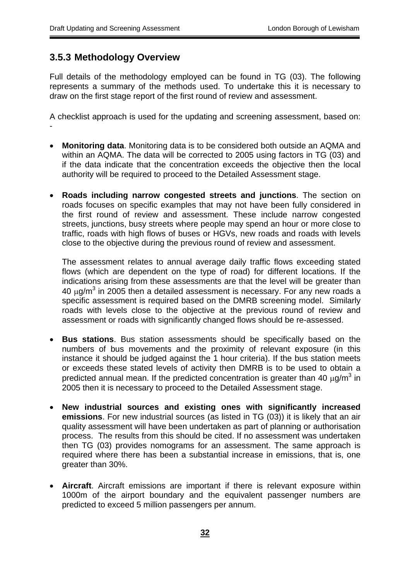## **3.5.3 Methodology Overview**

Full details of the methodology employed can be found in TG (03). The following represents a summary of the methods used. To undertake this it is necessary to draw on the first stage report of the first round of review and assessment.

A checklist approach is used for the updating and screening assessment, based on: -

- **Monitoring data**. Monitoring data is to be considered both outside an AQMA and within an AQMA. The data will be corrected to 2005 using factors in TG (03) and if the data indicate that the concentration exceeds the objective then the local authority will be required to proceed to the Detailed Assessment stage.
- **Roads including narrow congested streets and junctions**. The section on roads focuses on specific examples that may not have been fully considered in the first round of review and assessment. These include narrow congested streets, junctions, busy streets where people may spend an hour or more close to traffic, roads with high flows of buses or HGVs, new roads and roads with levels close to the objective during the previous round of review and assessment.

The assessment relates to annual average daily traffic flows exceeding stated flows (which are dependent on the type of road) for different locations. If the indications arising from these assessments are that the level will be greater than 40  $\mu$ g/m $^3$  in 2005 then a detailed assessment is necessary. For any new roads a specific assessment is required based on the DMRB screening model. Similarly roads with levels close to the objective at the previous round of review and assessment or roads with significantly changed flows should be re-assessed.

- **Bus stations**. Bus station assessments should be specifically based on the numbers of bus movements and the proximity of relevant exposure (in this instance it should be judged against the 1 hour criteria). If the bus station meets or exceeds these stated levels of activity then DMRB is to be used to obtain a predicted annual mean. If the predicted concentration is greater than 40  $\mu$ g/m<sup>3</sup> in 2005 then it is necessary to proceed to the Detailed Assessment stage.
- **New industrial sources and existing ones with significantly increased emissions**. For new industrial sources (as listed in TG (03)) it is likely that an air quality assessment will have been undertaken as part of planning or authorisation process. The results from this should be cited. If no assessment was undertaken then TG (03) provides nomograms for an assessment. The same approach is required where there has been a substantial increase in emissions, that is, one greater than 30%.
- **Aircraft**. Aircraft emissions are important if there is relevant exposure within 1000m of the airport boundary and the equivalent passenger numbers are predicted to exceed 5 million passengers per annum.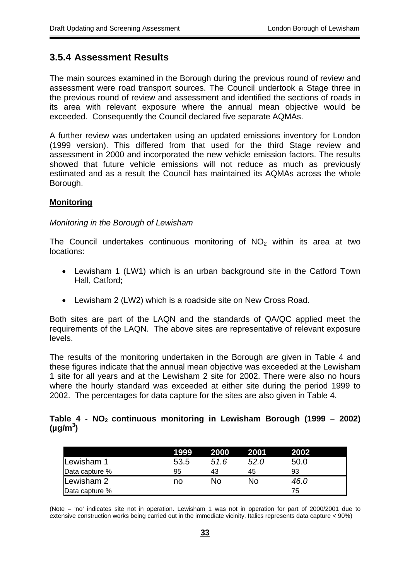## **3.5.4 Assessment Results**

The main sources examined in the Borough during the previous round of review and assessment were road transport sources. The Council undertook a Stage three in the previous round of review and assessment and identified the sections of roads in its area with relevant exposure where the annual mean objective would be exceeded. Consequently the Council declared five separate AQMAs.

A further review was undertaken using an updated emissions inventory for London (1999 version). This differed from that used for the third Stage review and assessment in 2000 and incorporated the new vehicle emission factors. The results showed that future vehicle emissions will not reduce as much as previously estimated and as a result the Council has maintained its AQMAs across the whole Borough.

### **Monitoring**

#### *Monitoring in the Borough of Lewisham*

The Council undertakes continuous monitoring of  $NO<sub>2</sub>$  within its area at two locations:

- Lewisham 1 (LW1) which is an urban background site in the Catford Town Hall, Catford;
- Lewisham 2 (LW2) which is a roadside site on New Cross Road.

Both sites are part of the LAQN and the standards of QA/QC applied meet the requirements of the LAQN. The above sites are representative of relevant exposure levels.

The results of the monitoring undertaken in the Borough are given in Table 4 and these figures indicate that the annual mean objective was exceeded at the Lewisham 1 site for all years and at the Lewisham 2 site for 2002. There were also no hours where the hourly standard was exceeded at either site during the period 1999 to 2002. The percentages for data capture for the sites are also given in Table 4.

#### **Table 4 - NO2 continuous monitoring in Lewisham Borough (1999 – 2002) (µg/m<sup>3</sup> )**

|                | 1999 | 2000 | 2001 | 2002 |
|----------------|------|------|------|------|
| Lewisham 1     | 53.5 | 51.6 | 52.0 | 50.0 |
| Data capture % | 95   | 43   | 45   | 93   |
| Lewisham 2     | no   | No   | No   | 46.0 |
| Data capture % |      |      |      | 75   |

(Note – 'no' indicates site not in operation. Lewisham 1 was not in operation for part of 2000/2001 due to extensive construction works being carried out in the immediate vicinity. Italics represents data capture < 90%)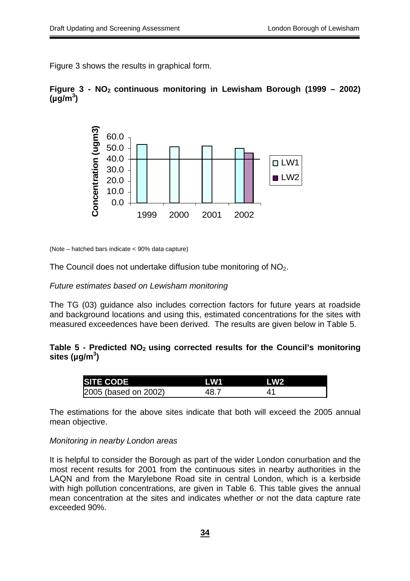Figure 3 shows the results in graphical form.

### **Figure 3 - NO2 continuous monitoring in Lewisham Borough (1999 – 2002)**  $(\mu g/m^3)$



(Note – hatched bars indicate < 90% data capture)

The Council does not undertake diffusion tube monitoring of NO<sub>2</sub>.

#### *Future estimates based on Lewisham monitoring*

The TG (03) guidance also includes correction factors for future years at roadside and background locations and using this, estimated concentrations for the sites with measured exceedences have been derived. The results are given below in Table 5.

#### Table 5 - Predicted NO<sub>2</sub> using corrected results for the Council's monitoring **sites (µg/m<sup>3</sup> )**

| <b>ISITE CODE!</b>   | LW1  | l W2 |  |
|----------------------|------|------|--|
| 2005 (based on 2002) | 48.7 |      |  |

The estimations for the above sites indicate that both will exceed the 2005 annual mean objective.

#### *Monitoring in nearby London areas*

It is helpful to consider the Borough as part of the wider London conurbation and the most recent results for 2001 from the continuous sites in nearby authorities in the LAQN and from the Marylebone Road site in central London, which is a kerbside with high pollution concentrations, are given in Table 6. This table gives the annual mean concentration at the sites and indicates whether or not the data capture rate exceeded 90%.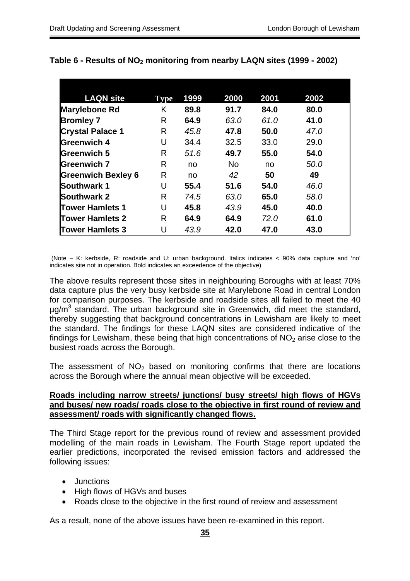| <b>LAQN site</b>          | Type | 1999 | 2000           | 2001 | 2002 |
|---------------------------|------|------|----------------|------|------|
| Marylebone Rd             | K    | 89.8 | 91.7           | 84.0 | 80.0 |
| <b>Bromley 7</b>          | R    | 64.9 | 63.0           | 61.0 | 41.0 |
| <b>Crystal Palace 1</b>   | R    | 45.8 | 47.8           | 50.0 | 47.0 |
| Greenwich 4               | U    | 34.4 | 32.5           | 33.0 | 29.0 |
| <b>Greenwich 5</b>        | R    | 51.6 | 49.7           | 55.0 | 54.0 |
| <b>Greenwich 7</b>        | R    | no   | N <sub>o</sub> | no   | 50.0 |
| <b>Greenwich Bexley 6</b> | R    | no   | 42             | 50   | 49   |
| <b>Southwark 1</b>        | U    | 55.4 | 51.6           | 54.0 | 46.0 |
| <b>Southwark 2</b>        | R    | 74.5 | 63.0           | 65.0 | 58.0 |
| Tower Hamlets 1           | U    | 45.8 | 43.9           | 45.0 | 40.0 |
| <b>Tower Hamlets 2</b>    | R    | 64.9 | 64.9           | 72.0 | 61.0 |
| <b>Tower Hamlets 3</b>    | U    | 43.9 | 42.0           | 47.0 | 43.0 |

### Table 6 - Results of NO<sub>2</sub> monitoring from nearby LAQN sites (1999 - 2002)

(Note – K: kerbside, R: roadside and U: urban background. Italics indicates < 90% data capture and 'no' indicates site not in operation. Bold indicates an exceedence of the objective)

The above results represent those sites in neighbouring Boroughs with at least 70% data capture plus the very busy kerbside site at Marylebone Road in central London for comparison purposes. The kerbside and roadside sites all failed to meet the 40  $\mu$ g/m<sup>3</sup> standard. The urban background site in Greenwich, did meet the standard, thereby suggesting that background concentrations in Lewisham are likely to meet the standard. The findings for these LAQN sites are considered indicative of the findings for Lewisham, these being that high concentrations of  $NO<sub>2</sub>$  arise close to the busiest roads across the Borough.

The assessment of  $NO<sub>2</sub>$  based on monitoring confirms that there are locations across the Borough where the annual mean objective will be exceeded.

#### **Roads including narrow streets/ junctions/ busy streets/ high flows of HGVs and buses/ new roads/ roads close to the objective in first round of review and assessment/ roads with significantly changed flows.**

The Third Stage report for the previous round of review and assessment provided modelling of the main roads in Lewisham. The Fourth Stage report updated the earlier predictions, incorporated the revised emission factors and addressed the following issues:

- Junctions
- High flows of HGVs and buses
- Roads close to the objective in the first round of review and assessment

As a result, none of the above issues have been re-examined in this report.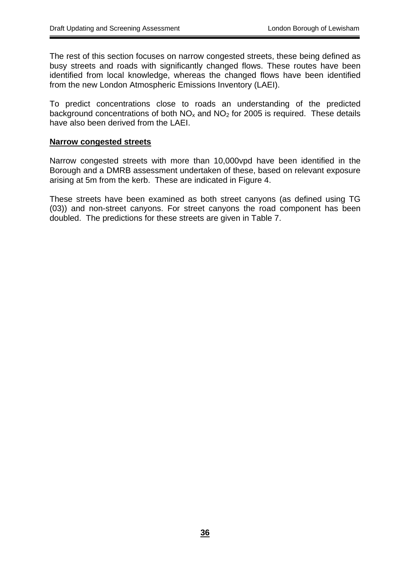The rest of this section focuses on narrow congested streets, these being defined as busy streets and roads with significantly changed flows. These routes have been identified from local knowledge, whereas the changed flows have been identified from the new London Atmospheric Emissions Inventory (LAEI).

To predict concentrations close to roads an understanding of the predicted background concentrations of both  $NO<sub>x</sub>$  and  $NO<sub>2</sub>$  for 2005 is required. These details have also been derived from the LAEI.

#### **Narrow congested streets**

Narrow congested streets with more than 10,000vpd have been identified in the Borough and a DMRB assessment undertaken of these, based on relevant exposure arising at 5m from the kerb. These are indicated in Figure 4.

These streets have been examined as both street canyons (as defined using TG (03)) and non-street canyons. For street canyons the road component has been doubled. The predictions for these streets are given in Table 7.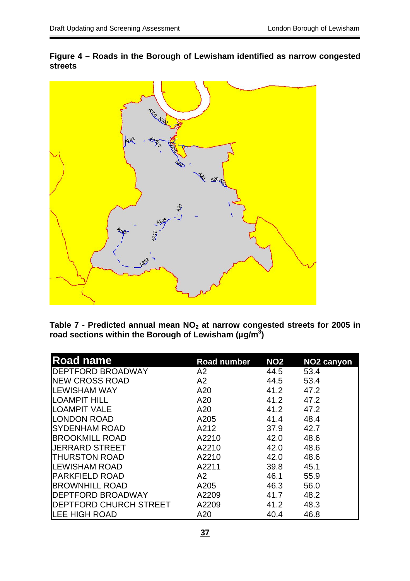

**Figure 4 – Roads in the Borough of Lewisham identified as narrow congested streets**

Table 7 - Predicted annual mean NO<sub>2</sub> at narrow congested streets for 2005 in **road sections within the Borough of Lewisham (µg/m3 )** 

| <b>Road name</b>       | <b>Road number</b> | <b>NO2</b> | <b>NO2 canyon</b> |
|------------------------|--------------------|------------|-------------------|
| DEPTFORD BROADWAY      | A2                 | 44.5       | 53.4              |
| <b>NEW CROSS ROAD</b>  | A <sub>2</sub>     | 44.5       | 53.4              |
| <b>LEWISHAM WAY</b>    | A20                | 41.2       | 47.2              |
| <b>LOAMPIT HILL</b>    | A20                | 41.2       | 47.2              |
| <b>LOAMPIT VALE</b>    | A20                | 41.2       | 47.2              |
| <b>LONDON ROAD</b>     | A205               | 41.4       | 48.4              |
| SYDENHAM ROAD          | A212               | 37.9       | 42.7              |
| <b>BROOKMILL ROAD</b>  | A2210              | 42.0       | 48.6              |
| <b>UERRARD STREET</b>  | A2210              | 42.0       | 48.6              |
| <b>THURSTON ROAD</b>   | A2210              | 42.0       | 48.6              |
| LEWISHAM ROAD          | A2211              | 39.8       | 45.1              |
| <b>PARKFIELD ROAD</b>  | A2                 | 46.1       | 55.9              |
| <b>BROWNHILL ROAD</b>  | A205               | 46.3       | 56.0              |
| DEPTFORD BROADWAY      | A2209              | 41.7       | 48.2              |
| DEPTFORD CHURCH STREET | A2209              | 41.2       | 48.3              |
| LEE HIGH ROAD          | A20                | 40.4       | 46.8              |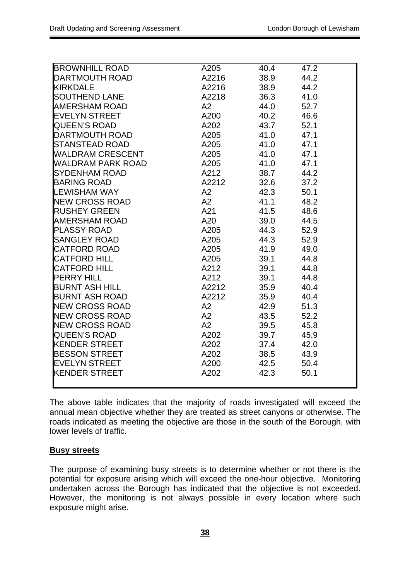| <b>BROWNHILL ROAD</b> | A205  | 40.4 | 47.2 |
|-----------------------|-------|------|------|
| <b>DARTMOUTH ROAD</b> | A2216 | 38.9 | 44.2 |
| <b>KIRKDALE</b>       | A2216 | 38.9 | 44.2 |
| <b>SOUTHEND LANE</b>  | A2218 | 36.3 | 41.0 |
| <b>AMERSHAM ROAD</b>  | A2    | 44.0 | 52.7 |
| <b>EVELYN STREET</b>  | A200  | 40.2 | 46.6 |
| <b>QUEEN'S ROAD</b>   | A202  | 43.7 | 52.1 |
| <b>DARTMOUTH ROAD</b> | A205  | 41.0 | 47.1 |
| <b>STANSTEAD ROAD</b> | A205  | 41.0 | 47.1 |
| WALDRAM CRESCENT      | A205  | 41.0 | 47.1 |
| WALDRAM PARK ROAD     | A205  | 41.0 | 47.1 |
| <b>SYDENHAM ROAD</b>  | A212  | 38.7 | 44.2 |
| <b>BARING ROAD</b>    | A2212 | 32.6 | 37.2 |
| <b>LEWISHAM WAY</b>   | A2    | 42.3 | 50.1 |
| <b>NEW CROSS ROAD</b> | A2    | 41.1 | 48.2 |
| <b>RUSHEY GREEN</b>   | A21   | 41.5 | 48.6 |
| AMERSHAM ROAD         | A20   | 39.0 | 44.5 |
| <b>PLASSY ROAD</b>    | A205  | 44.3 | 52.9 |
| <b>SANGLEY ROAD</b>   | A205  | 44.3 | 52.9 |
| <b>CATFORD ROAD</b>   | A205  | 41.9 | 49.0 |
| <b>CATFORD HILL</b>   | A205  | 39.1 | 44.8 |
| <b>CATFORD HILL</b>   | A212  | 39.1 | 44.8 |
| <b>PERRY HILL</b>     | A212  | 39.1 | 44.8 |
| <b>BURNT ASH HILL</b> | A2212 | 35.9 | 40.4 |
| <b>BURNT ASH ROAD</b> | A2212 | 35.9 | 40.4 |
| <b>NEW CROSS ROAD</b> | A2    | 42.9 | 51.3 |
| <b>NEW CROSS ROAD</b> | A2    | 43.5 | 52.2 |
| <b>NEW CROSS ROAD</b> | A2    | 39.5 | 45.8 |
| <b>QUEEN'S ROAD</b>   | A202  | 39.7 | 45.9 |
| <b>KENDER STREET</b>  | A202  | 37.4 | 42.0 |
| <b>BESSON STREET</b>  | A202  | 38.5 | 43.9 |
| <b>EVELYN STREET</b>  | A200  | 42.5 | 50.4 |
| <b>KENDER STREET</b>  | A202  | 42.3 | 50.1 |
|                       |       |      |      |

The above table indicates that the majority of roads investigated will exceed the annual mean objective whether they are treated as street canyons or otherwise. The roads indicated as meeting the objective are those in the south of the Borough, with lower levels of traffic.

#### **Busy streets**

The purpose of examining busy streets is to determine whether or not there is the potential for exposure arising which will exceed the one-hour objective. Monitoring undertaken across the Borough has indicated that the objective is not exceeded. However, the monitoring is not always possible in every location where such exposure might arise.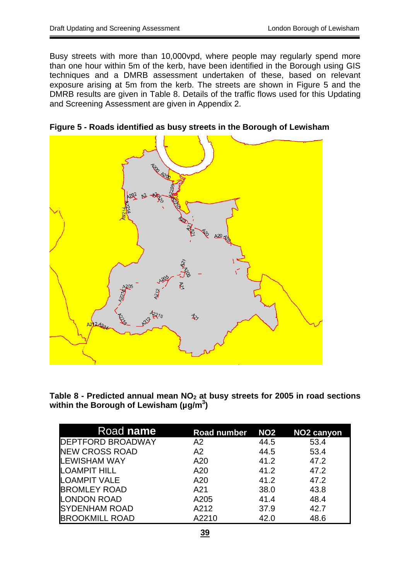Busy streets with more than 10,000vpd, where people may regularly spend more than one hour within 5m of the kerb, have been identified in the Borough using GIS techniques and a DMRB assessment undertaken of these, based on relevant exposure arising at 5m from the kerb. The streets are shown in Figure 5 and the DMRB results are given in Table 8. Details of the traffic flows used for this Updating and Screening Assessment are given in Appendix 2.



**Figure 5 - Roads identified as busy streets in the Borough of Lewisham** 

Table 8 - Predicted annual mean NO<sub>2</sub> at busy streets for 2005 in road sections **within the Borough of Lewisham (µg/m3 )** 

| Road name                | <b>Road number</b> | <b>NO2</b> | NO <sub>2</sub> canyon |
|--------------------------|--------------------|------------|------------------------|
| <b>DEPTFORD BROADWAY</b> | A <sub>2</sub>     | 44.5       | 53.4                   |
| <b>NEW CROSS ROAD</b>    | A2                 | 44.5       | 53.4                   |
| <b>LEWISHAM WAY</b>      | A20                | 41.2       | 47.2                   |
| <b>LOAMPIT HILL</b>      | A20                | 41.2       | 47.2                   |
| <b>LOAMPIT VALE</b>      | A20                | 41.2       | 47.2                   |
| <b>BROMLEY ROAD</b>      | A21                | 38.0       | 43.8                   |
| <b>LONDON ROAD</b>       | A205               | 41.4       | 48.4                   |
| <b>SYDENHAM ROAD</b>     | A212               | 37.9       | 42.7                   |
| <b>BROOKMILL ROAD</b>    | A2210              | 42.0       | 48.6                   |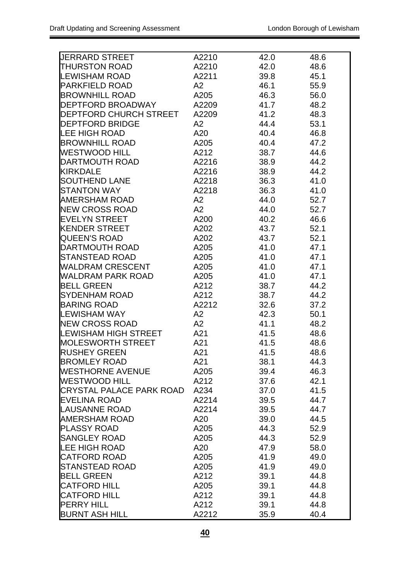| <b>UERRARD STREET</b>           | A2210 | 42.0 | 48.6 |
|---------------------------------|-------|------|------|
| <b>THURSTON ROAD</b>            | A2210 | 42.0 | 48.6 |
| <b>LEWISHAM ROAD</b>            | A2211 | 39.8 | 45.1 |
| <b>PARKFIELD ROAD</b>           | A2    | 46.1 | 55.9 |
| BROWNHILL ROAD                  | A205  | 46.3 | 56.0 |
| DEPTFORD BROADWAY               | A2209 | 41.7 | 48.2 |
| DEPTFORD CHURCH STREET          | A2209 | 41.2 | 48.3 |
| <b>DEPTFORD BRIDGE</b>          | A2    | 44.4 | 53.1 |
| <b>LEE HIGH ROAD</b>            | A20   | 40.4 | 46.8 |
| <b>BROWNHILL ROAD</b>           | A205  | 40.4 | 47.2 |
| <b>WESTWOOD HILL</b>            | A212  | 38.7 | 44.6 |
| DARTMOUTH ROAD                  | A2216 | 38.9 | 44.2 |
| <b>KIRKDALE</b>                 | A2216 | 38.9 | 44.2 |
| <b>SOUTHEND LANE</b>            | A2218 | 36.3 | 41.0 |
| <b>STANTON WAY</b>              | A2218 | 36.3 | 41.0 |
| <b>AMERSHAM ROAD</b>            | A2    | 44.0 | 52.7 |
| <b>NEW CROSS ROAD</b>           | A2    | 44.0 | 52.7 |
| <b>EVELYN STREET</b>            | A200  | 40.2 | 46.6 |
| <b>KENDER STREET</b>            | A202  | 43.7 | 52.1 |
| <b>QUEEN'S ROAD</b>             | A202  | 43.7 | 52.1 |
| DARTMOUTH ROAD                  | A205  | 41.0 | 47.1 |
| STANSTEAD ROAD                  | A205  | 41.0 |      |
|                                 |       |      | 47.1 |
| WALDRAM CRESCENT                | A205  | 41.0 | 47.1 |
| WALDRAM PARK ROAD               | A205  | 41.0 | 47.1 |
| <b>BELL GREEN</b>               | A212  | 38.7 | 44.2 |
| SYDENHAM ROAD                   | A212  | 38.7 | 44.2 |
| <b>BARING ROAD</b>              | A2212 | 32.6 | 37.2 |
| LEWISHAM WAY                    | A2    | 42.3 | 50.1 |
| <b>NEW CROSS ROAD</b>           | A2    | 41.1 | 48.2 |
| LEWISHAM HIGH STREET            | A21   | 41.5 | 48.6 |
| <b>MOLESWORTH STREET</b>        | A21   | 41.5 | 48.6 |
| <b>RUSHEY GREEN</b>             | A21   | 41.5 | 48.6 |
| <b>BROMLEY ROAD</b>             | A21   | 38.1 | 44.3 |
| <b>WESTHORNE AVENUE</b>         | A205  | 39.4 | 46.3 |
| <b>WESTWOOD HILL</b>            | A212  | 37.6 | 42.1 |
| <b>CRYSTAL PALACE PARK ROAD</b> | A234  | 37.0 | 41.5 |
| <b>EVELINA ROAD</b>             | A2214 | 39.5 | 44.7 |
| <b>LAUSANNE ROAD</b>            | A2214 | 39.5 | 44.7 |
| <b>AMERSHAM ROAD</b>            | A20   | 39.0 | 44.5 |
| <b>PLASSY ROAD</b>              | A205  | 44.3 | 52.9 |
| <b>SANGLEY ROAD</b>             | A205  | 44.3 | 52.9 |
| <b>LEE HIGH ROAD</b>            | A20   | 47.9 | 58.0 |
| <b>CATFORD ROAD</b>             | A205  | 41.9 | 49.0 |
| <b>STANSTEAD ROAD</b>           | A205  | 41.9 | 49.0 |
| <b>BELL GREEN</b>               | A212  | 39.1 | 44.8 |
| <b>CATFORD HILL</b>             | A205  | 39.1 | 44.8 |
| <b>CATFORD HILL</b>             | A212  | 39.1 | 44.8 |
| <b>PERRY HILL</b>               | A212  | 39.1 | 44.8 |
| <b>BURNT ASH HILL</b>           | A2212 | 35.9 | 40.4 |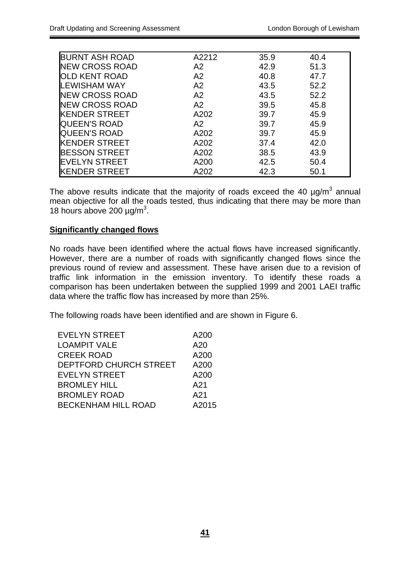| <b>BURNT ASH ROAD</b> | A2212 | 35.9 | 40.4 |
|-----------------------|-------|------|------|
| <b>NEW CROSS ROAD</b> | A2    | 42.9 | 51.3 |
| OLD KENT ROAD         | A2    | 40.8 | 47.7 |
| LEWISHAM WAY          | A2    | 43.5 | 52.2 |
| <b>NEW CROSS ROAD</b> | A2    | 43.5 | 52.2 |
| <b>NEW CROSS ROAD</b> | A2    | 39.5 | 45.8 |
| <b>KENDER STREET</b>  | A202  | 39.7 | 45.9 |
| <b>QUEEN'S ROAD</b>   | A2    | 39.7 | 45.9 |
| <b>QUEEN'S ROAD</b>   | A202  | 39.7 | 45.9 |
| <b>KENDER STREET</b>  | A202  | 37.4 | 42.0 |
| <b>BESSON STREET</b>  | A202  | 38.5 | 43.9 |
| <b>EVELYN STREET</b>  | A200  | 42.5 | 50.4 |
| <b>KENDER STREET</b>  | A202  | 42.3 | 50.1 |

The above results indicate that the majority of roads exceed the 40  $\mu$ g/m<sup>3</sup> annual mean objective for all the roads tested, thus indicating that there may be more than 18 hours above 200  $\mu$ g/m<sup>3</sup>.

### **Significantly changed flows**

No roads have been identified where the actual flows have increased significantly. However, there are a number of roads with significantly changed flows since the previous round of review and assessment. These have arisen due to a revision of traffic link information in the emission inventory. To identify these roads a comparison has been undertaken between the supplied 1999 and 2001 LAEI traffic data where the traffic flow has increased by more than 25%.

The following roads have been identified and are shown in Figure 6.

| <b>EVELYN STREET</b>       | A200  |
|----------------------------|-------|
| <b>LOAMPIT VALE</b>        | A20   |
| <b>CREEK ROAD</b>          | A200  |
| DEPTFORD CHURCH STREET     | A200  |
| <b>EVELYN STREET</b>       | A200  |
| <b>BROMLEY HILL</b>        | A21   |
| <b>BROMLEY ROAD</b>        | A21   |
| <b>BECKENHAM HILL ROAD</b> | A2015 |
|                            |       |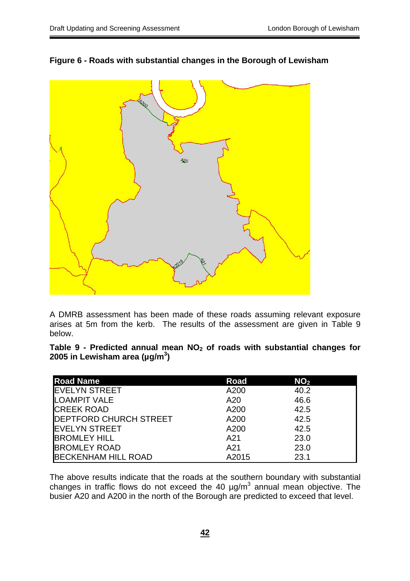



A DMRB assessment has been made of these roads assuming relevant exposure arises at 5m from the kerb. The results of the assessment are given in Table 9 below.

Table 9 - Predicted annual mean NO<sub>2</sub> of roads with substantial changes for **2005 in Lewisham area (µg/m3 )** 

| <b>Road Name</b>              | <b>Road</b> | NO <sub>2</sub> |  |
|-------------------------------|-------------|-----------------|--|
| <b>EVELYN STREET</b>          | A200        | 40.2            |  |
| <b>LOAMPIT VALE</b>           | A20         | 46.6            |  |
| <b>CREEK ROAD</b>             | A200        | 42.5            |  |
| <b>DEPTFORD CHURCH STREET</b> | A200        | 42.5            |  |
| <b>EVELYN STREET</b>          | A200        | 42.5            |  |
| <b>BROMLEY HILL</b>           | A21         | 23.0            |  |
| <b>BROMLEY ROAD</b>           | A21         | 23.0            |  |
| <b>BECKENHAM HILL ROAD</b>    | A2015       | 23.1            |  |

The above results indicate that the roads at the southern boundary with substantial changes in traffic flows do not exceed the 40  $\mu$ g/m<sup>3</sup> annual mean objective. The busier A20 and A200 in the north of the Borough are predicted to exceed that level.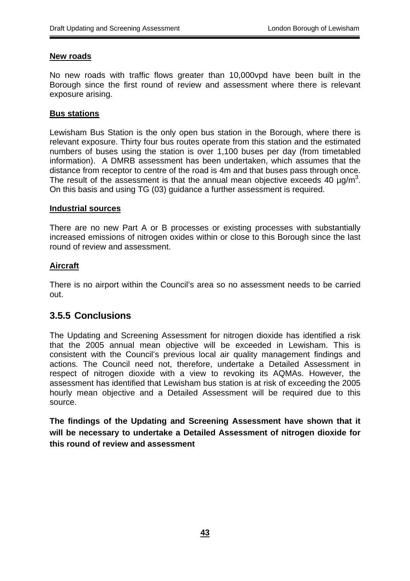#### **New roads**

No new roads with traffic flows greater than 10,000vpd have been built in the Borough since the first round of review and assessment where there is relevant exposure arising.

#### **Bus stations**

Lewisham Bus Station is the only open bus station in the Borough, where there is relevant exposure. Thirty four bus routes operate from this station and the estimated numbers of buses using the station is over 1,100 buses per day (from timetabled information). A DMRB assessment has been undertaken, which assumes that the distance from receptor to centre of the road is 4m and that buses pass through once. The result of the assessment is that the annual mean objective exceeds  $40 \mu g/m^3$ . On this basis and using TG (03) guidance a further assessment is required.

#### **Industrial sources**

There are no new Part A or B processes or existing processes with substantially increased emissions of nitrogen oxides within or close to this Borough since the last round of review and assessment.

#### **Aircraft**

There is no airport within the Council's area so no assessment needs to be carried out.

### **3.5.5 Conclusions**

The Updating and Screening Assessment for nitrogen dioxide has identified a risk that the 2005 annual mean objective will be exceeded in Lewisham. This is consistent with the Council's previous local air quality management findings and actions. The Council need not, therefore, undertake a Detailed Assessment in respect of nitrogen dioxide with a view to revoking its AQMAs. However, the assessment has identified that Lewisham bus station is at risk of exceeding the 2005 hourly mean objective and a Detailed Assessment will be required due to this source.

**The findings of the Updating and Screening Assessment have shown that it will be necessary to undertake a Detailed Assessment of nitrogen dioxide for this round of review and assessment**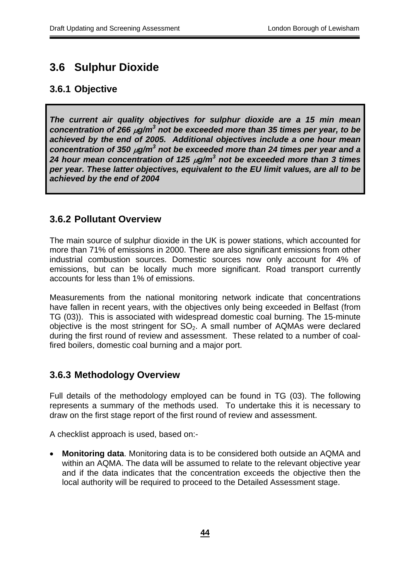## **3.6 Sulphur Dioxide**

## **3.6.1 Objective**

*The current air quality objectives for sulphur dioxide are a 15 min mean concentration of 266* µ*g/m<sup>3</sup> not be exceeded more than 35 times per year, to be achieved by the end of 2005. Additional objectives include a one hour mean concentration of 350 µg/m<sup>3</sup> not be exceeded more than 24 times per year and a 24 hour mean concentration of 125* µ*g/m<sup>3</sup> not be exceeded more than 3 times per year. These latter objectives, equivalent to the EU limit values, are all to be achieved by the end of 2004*

## **3.6.2 Pollutant Overview**

The main source of sulphur dioxide in the UK is power stations, which accounted for more than 71% of emissions in 2000. There are also significant emissions from other industrial combustion sources. Domestic sources now only account for 4% of emissions, but can be locally much more significant. Road transport currently accounts for less than 1% of emissions.

Measurements from the national monitoring network indicate that concentrations have fallen in recent years, with the objectives only being exceeded in Belfast (from TG (03)). This is associated with widespread domestic coal burning. The 15-minute objective is the most stringent for  $SO<sub>2</sub>$ . A small number of AQMAs were declared during the first round of review and assessment. These related to a number of coalfired boilers, domestic coal burning and a major port.

## **3.6.3 Methodology Overview**

Full details of the methodology employed can be found in TG (03). The following represents a summary of the methods used. To undertake this it is necessary to draw on the first stage report of the first round of review and assessment.

A checklist approach is used, based on:-

• **Monitoring data**. Monitoring data is to be considered both outside an AQMA and within an AQMA. The data will be assumed to relate to the relevant objective year and if the data indicates that the concentration exceeds the objective then the local authority will be required to proceed to the Detailed Assessment stage.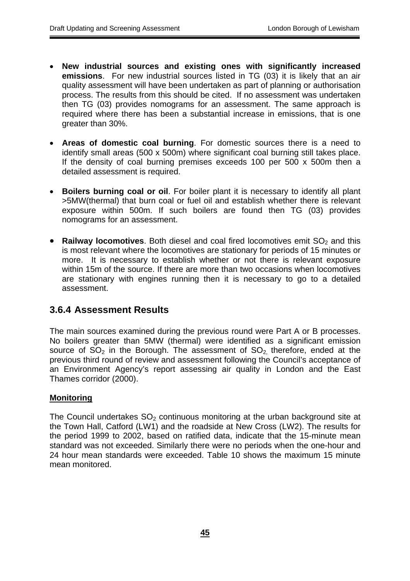- **New industrial sources and existing ones with significantly increased emissions**. For new industrial sources listed in TG (03) it is likely that an air quality assessment will have been undertaken as part of planning or authorisation process. The results from this should be cited. If no assessment was undertaken then TG (03) provides nomograms for an assessment. The same approach is required where there has been a substantial increase in emissions, that is one greater than 30%.
- **Areas of domestic coal burning**. For domestic sources there is a need to identify small areas (500 x 500m) where significant coal burning still takes place. If the density of coal burning premises exceeds 100 per 500 x 500m then a detailed assessment is required.
- **Boilers burning coal or oil**. For boiler plant it is necessary to identify all plant >5MW(thermal) that burn coal or fuel oil and establish whether there is relevant exposure within 500m. If such boilers are found then TG (03) provides nomograms for an assessment.
- **Railway locomotives**. Both diesel and coal fired locomotives emit SO<sub>2</sub> and this is most relevant where the locomotives are stationary for periods of 15 minutes or more. It is necessary to establish whether or not there is relevant exposure within 15m of the source. If there are more than two occasions when locomotives are stationary with engines running then it is necessary to go to a detailed assessment.

## **3.6.4 Assessment Results**

The main sources examined during the previous round were Part A or B processes. No boilers greater than 5MW (thermal) were identified as a significant emission source of  $SO_2$  in the Borough. The assessment of  $SO_2$  therefore, ended at the previous third round of review and assessment following the Council's acceptance of an Environment Agency's report assessing air quality in London and the East Thames corridor (2000).

### **Monitoring**

The Council undertakes  $SO<sub>2</sub>$  continuous monitoring at the urban background site at the Town Hall, Catford (LW1) and the roadside at New Cross (LW2). The results for the period 1999 to 2002, based on ratified data, indicate that the 15-minute mean standard was not exceeded. Similarly there were no periods when the one-hour and 24 hour mean standards were exceeded. Table 10 shows the maximum 15 minute mean monitored.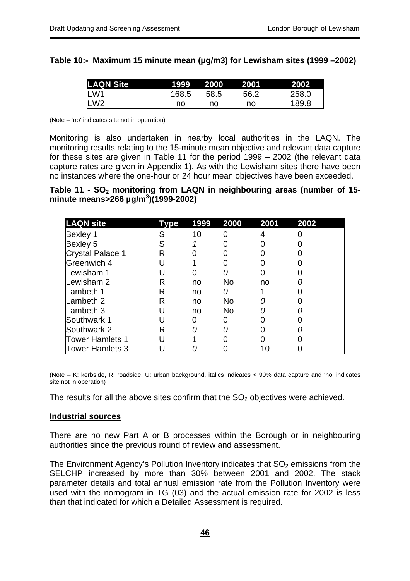### **Table 10:- Maximum 15 minute mean (µg/m3) for Lewisham sites (1999 –2002)**

| <b>LAQN Site</b> | 1999' | -2000 | 2001 | 2002  |
|------------------|-------|-------|------|-------|
| LW1              | 168.5 | 58.5  | 56.2 | 258.0 |
| LW <sub>2</sub>  | no    | no    | no   | 189.8 |

(Note – 'no' indicates site not in operation)

Monitoring is also undertaken in nearby local authorities in the LAQN. The monitoring results relating to the 15-minute mean objective and relevant data capture for these sites are given in Table 11 for the period 1999 – 2002 (the relevant data capture rates are given in Appendix 1). As with the Lewisham sites there have been no instances where the one-hour or 24 hour mean objectives have been exceeded.

Table 11 - SO<sub>2</sub> monitoring from LAQN in neighbouring areas (number of 15**minute means>266 µg/m<sup>3</sup> )(1999-2002)** 

| <b>LAQN</b> site        | vpe | 1999 | 2000      | 2001 | 2002 |
|-------------------------|-----|------|-----------|------|------|
| Bexley 1                |     | 10   |           |      |      |
| Bexley 5                |     |      |           |      |      |
| <b>Crystal Palace 1</b> | R   |      |           |      |      |
| Greenwich 4             |     |      |           |      |      |
| Lewisham 1              |     |      |           |      |      |
| Lewisham 2              | R   | no   | No        | no   |      |
| Lambeth 1               | R   | no   |           |      |      |
| Lambeth 2               | R   | no   | No.       |      |      |
| Lambeth 3               |     | no   | <b>No</b> |      |      |
| Southwark 1             |     | O    |           |      |      |
| Southwark 2             | R   |      |           |      |      |
| <b>Tower Hamlets 1</b>  |     |      |           |      |      |
| <b>Tower Hamlets 3</b>  |     |      |           |      |      |

(Note – K: kerbside, R: roadside, U: urban background, italics indicates < 90% data capture and 'no' indicates site not in operation)

The results for all the above sites confirm that the  $SO<sub>2</sub>$  objectives were achieved.

#### **Industrial sources**

There are no new Part A or B processes within the Borough or in neighbouring authorities since the previous round of review and assessment.

The Environment Agency's Pollution Inventory indicates that  $SO<sub>2</sub>$  emissions from the SELCHP increased by more than 30% between 2001 and 2002. The stack parameter details and total annual emission rate from the Pollution Inventory were used with the nomogram in TG (03) and the actual emission rate for 2002 is less than that indicated for which a Detailed Assessment is required.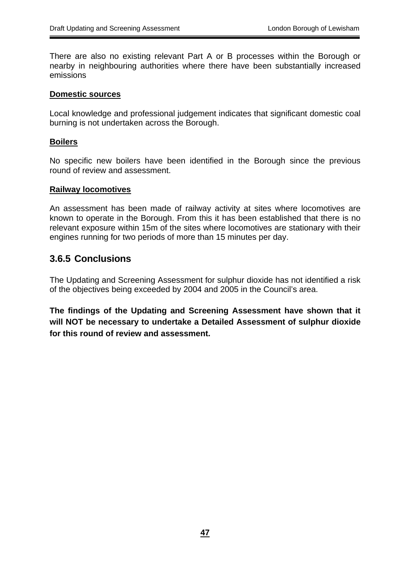There are also no existing relevant Part A or B processes within the Borough or nearby in neighbouring authorities where there have been substantially increased emissions

#### **Domestic sources**

Local knowledge and professional judgement indicates that significant domestic coal burning is not undertaken across the Borough.

#### **Boilers**

No specific new boilers have been identified in the Borough since the previous round of review and assessment.

#### **Railway locomotives**

An assessment has been made of railway activity at sites where locomotives are known to operate in the Borough. From this it has been established that there is no relevant exposure within 15m of the sites where locomotives are stationary with their engines running for two periods of more than 15 minutes per day.

### **3.6.5 Conclusions**

The Updating and Screening Assessment for sulphur dioxide has not identified a risk of the objectives being exceeded by 2004 and 2005 in the Council's area.

**The findings of the Updating and Screening Assessment have shown that it will NOT be necessary to undertake a Detailed Assessment of sulphur dioxide for this round of review and assessment.**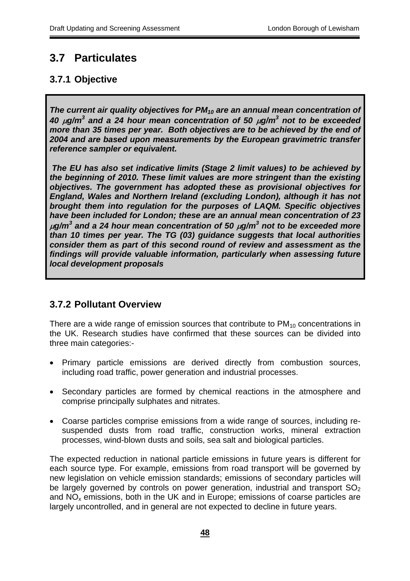## **3.7 Particulates**

## **3.7.1 Objective**

The current air quality objectives for PM<sub>10</sub> are an annual mean concentration of *40* µ*g/m<sup>3</sup> and a 24 hour mean concentration of 50* <sup>µ</sup>*g/m<sup>3</sup> not to be exceeded more than 35 times per year. Both objectives are to be achieved by the end of 2004 and are based upon measurements by the European gravimetric transfer reference sampler or equivalent.* 

*The EU has also set indicative limits (Stage 2 limit values) to be achieved by the beginning of 2010. These limit values are more stringent than the existing objectives. The government has adopted these as provisional objectives for England, Wales and Northern Ireland (excluding London), although it has not brought them into regulation for the purposes of LAQM. Specific objectives have been included for London; these are an annual mean concentration of 23*  $\mu$ g/m $^3$  and a 24 hour mean concentration of 50  $\mu$ g/m $^3$  not to be exceeded more *than 10 times per year. The TG (03) guidance suggests that local authorities consider them as part of this second round of review and assessment as the findings will provide valuable information, particularly when assessing future local development proposals* 

## **3.7.2 Pollutant Overview**

There are a wide range of emission sources that contribute to  $PM_{10}$  concentrations in the UK. Research studies have confirmed that these sources can be divided into three main categories:-

- Primary particle emissions are derived directly from combustion sources, including road traffic, power generation and industrial processes.
- Secondary particles are formed by chemical reactions in the atmosphere and comprise principally sulphates and nitrates.
- Coarse particles comprise emissions from a wide range of sources, including resuspended dusts from road traffic, construction works, mineral extraction processes, wind-blown dusts and soils, sea salt and biological particles.

The expected reduction in national particle emissions in future years is different for each source type. For example, emissions from road transport will be governed by new legislation on vehicle emission standards; emissions of secondary particles will be largely governed by controls on power generation, industrial and transport  $SO<sub>2</sub>$ and  $NO<sub>x</sub>$  emissions, both in the UK and in Europe; emissions of coarse particles are largely uncontrolled, and in general are not expected to decline in future years.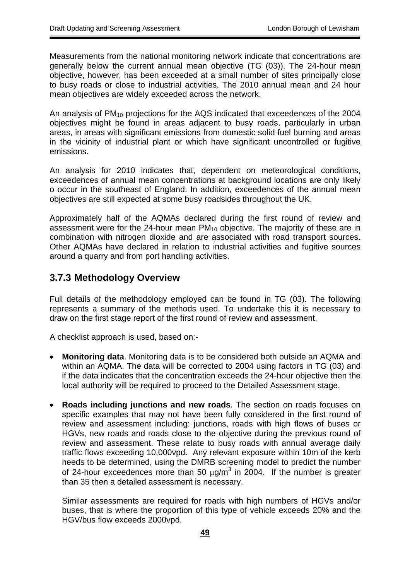Measurements from the national monitoring network indicate that concentrations are generally below the current annual mean objective (TG (03)). The 24-hour mean objective, however, has been exceeded at a small number of sites principally close to busy roads or close to industrial activities. The 2010 annual mean and 24 hour mean objectives are widely exceeded across the network.

An analysis of  $PM_{10}$  projections for the AQS indicated that exceedences of the 2004 objectives might be found in areas adjacent to busy roads, particularly in urban areas, in areas with significant emissions from domestic solid fuel burning and areas in the vicinity of industrial plant or which have significant uncontrolled or fugitive emissions.

An analysis for 2010 indicates that, dependent on meteorological conditions, exceedences of annual mean concentrations at background locations are only likely o occur in the southeast of England. In addition, exceedences of the annual mean objectives are still expected at some busy roadsides throughout the UK.

Approximately half of the AQMAs declared during the first round of review and assessment were for the 24-hour mean  $PM_{10}$  objective. The majority of these are in combination with nitrogen dioxide and are associated with road transport sources. Other AQMAs have declared in relation to industrial activities and fugitive sources around a quarry and from port handling activities.

## **3.7.3 Methodology Overview**

Full details of the methodology employed can be found in TG (03). The following represents a summary of the methods used. To undertake this it is necessary to draw on the first stage report of the first round of review and assessment.

A checklist approach is used, based on:-

- **Monitoring data**. Monitoring data is to be considered both outside an AQMA and within an AQMA. The data will be corrected to 2004 using factors in TG (03) and if the data indicates that the concentration exceeds the 24-hour objective then the local authority will be required to proceed to the Detailed Assessment stage.
- **Roads including junctions and new roads**. The section on roads focuses on specific examples that may not have been fully considered in the first round of review and assessment including: junctions, roads with high flows of buses or HGVs, new roads and roads close to the objective during the previous round of review and assessment. These relate to busy roads with annual average daily traffic flows exceeding 10,000vpd. Any relevant exposure within 10m of the kerb needs to be determined, using the DMRB screening model to predict the number of 24-hour exceedences more than 50  $\mu$ g/m<sup>3</sup> in 2004. If the number is greater than 35 then a detailed assessment is necessary.

Similar assessments are required for roads with high numbers of HGVs and/or buses, that is where the proportion of this type of vehicle exceeds 20% and the HGV/bus flow exceeds 2000vpd.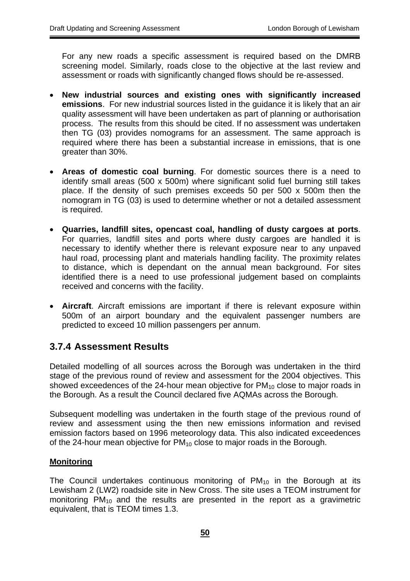For any new roads a specific assessment is required based on the DMRB screening model. Similarly, roads close to the objective at the last review and assessment or roads with significantly changed flows should be re-assessed.

- **New industrial sources and existing ones with significantly increased emissions**. For new industrial sources listed in the guidance it is likely that an air quality assessment will have been undertaken as part of planning or authorisation process. The results from this should be cited. If no assessment was undertaken then TG (03) provides nomograms for an assessment. The same approach is required where there has been a substantial increase in emissions, that is one greater than 30%.
- **Areas of domestic coal burning**. For domestic sources there is a need to identify small areas (500 x 500m) where significant solid fuel burning still takes place. If the density of such premises exceeds 50 per 500 x 500m then the nomogram in TG (03) is used to determine whether or not a detailed assessment is required.
- **Quarries, landfill sites, opencast coal, handling of dusty cargoes at ports**. For quarries, landfill sites and ports where dusty cargoes are handled it is necessary to identify whether there is relevant exposure near to any unpaved haul road, processing plant and materials handling facility. The proximity relates to distance, which is dependant on the annual mean background. For sites identified there is a need to use professional judgement based on complaints received and concerns with the facility.
- **Aircraft**. Aircraft emissions are important if there is relevant exposure within 500m of an airport boundary and the equivalent passenger numbers are predicted to exceed 10 million passengers per annum.

## **3.7.4 Assessment Results**

Detailed modelling of all sources across the Borough was undertaken in the third stage of the previous round of review and assessment for the 2004 objectives. This showed exceedences of the 24-hour mean objective for  $PM_{10}$  close to major roads in the Borough. As a result the Council declared five AQMAs across the Borough.

Subsequent modelling was undertaken in the fourth stage of the previous round of review and assessment using the then new emissions information and revised emission factors based on 1996 meteorology data. This also indicated exceedences of the 24-hour mean objective for  $PM_{10}$  close to major roads in the Borough.

#### **Monitoring**

The Council undertakes continuous monitoring of  $PM_{10}$  in the Borough at its Lewisham 2 (LW2) roadside site in New Cross. The site uses a TEOM instrument for monitoring  $PM_{10}$  and the results are presented in the report as a gravimetric equivalent, that is TEOM times 1.3.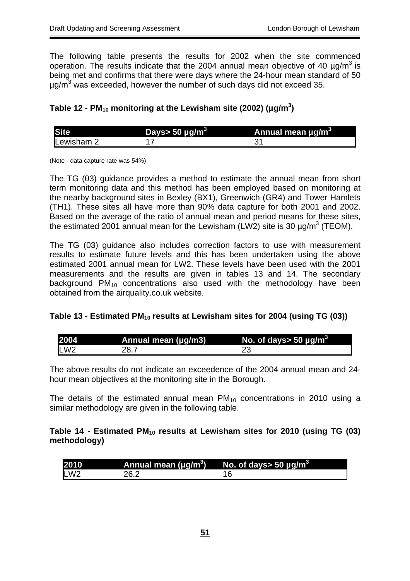The following table presents the results for 2002 when the site commenced operation. The results indicate that the 2004 annual mean objective of 40  $\mu$ q/m<sup>3</sup> is being met and confirms that there were days where the 24-hour mean standard of 50  $\mu$ g/m $3$  was exceeded, however the number of such days did not exceed 35.

### Table 12 - PM<sub>10</sub> monitoring at the Lewisham site (2002) (µg/m<sup>3</sup>)

|            | Days> 50 $\mu$ g/m <sup>3</sup> | Annual mean ug/m <sup>3</sup> |
|------------|---------------------------------|-------------------------------|
| Lewisham 2 |                                 |                               |

(Note - data capture rate was 54%)

The TG (03) guidance provides a method to estimate the annual mean from short term monitoring data and this method has been employed based on monitoring at the nearby background sites in Bexley (BX1), Greenwich (GR4) and Tower Hamlets (TH1). These sites all have more than 90% data capture for both 2001 and 2002. Based on the average of the ratio of annual mean and period means for these sites, the estimated 2001 annual mean for the Lewisham (LW2) site is 30  $\mu$ g/m<sup>3</sup> (TEOM).

The TG (03) guidance also includes correction factors to use with measurement results to estimate future levels and this has been undertaken using the above estimated 2001 annual mean for LW2. These levels have been used with the 2001 measurements and the results are given in tables 13 and 14. The secondary background  $PM_{10}$  concentrations also used with the methodology have been obtained from the airquality.co.uk website.

### Table 13 - Estimated PM<sub>10</sub> results at Lewisham sites for 2004 (using TG (03))

| 2004 | Annual mean (µg/m3) | No. of days> 50 $\mu$ g/m <sup>3</sup> |
|------|---------------------|----------------------------------------|
| LW2  |                     |                                        |

The above results do not indicate an exceedence of the 2004 annual mean and 24 hour mean objectives at the monitoring site in the Borough.

The details of the estimated annual mean  $PM_{10}$  concentrations in 2010 using a similar methodology are given in the following table.

### Table 14 - Estimated PM<sub>10</sub> results at Lewisham sites for 2010 (using TG (03) **methodology)**

| 2010 | Annual mean ( $\mu$ g/m <sup>3</sup> ) | No. of days> 50 $\mu$ g/m $^3$ |
|------|----------------------------------------|--------------------------------|
| LW2  | 2R 2                                   |                                |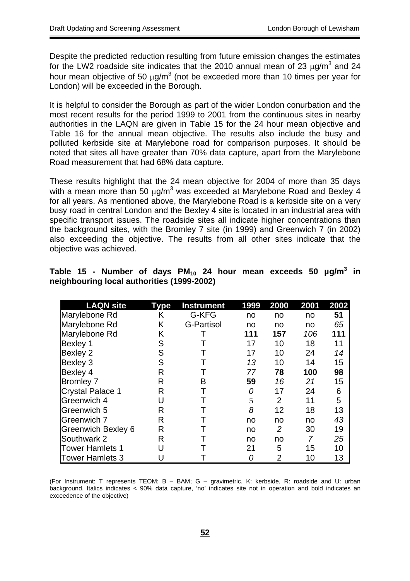Despite the predicted reduction resulting from future emission changes the estimates for the LW2 roadside site indicates that the 2010 annual mean of 23  $\mu$ g/m<sup>3</sup> and 24 hour mean objective of 50  $\mu$ g/m<sup>3</sup> (not be exceeded more than 10 times per year for London) will be exceeded in the Borough.

It is helpful to consider the Borough as part of the wider London conurbation and the most recent results for the period 1999 to 2001 from the continuous sites in nearby authorities in the LAQN are given in Table 15 for the 24 hour mean objective and Table 16 for the annual mean objective. The results also include the busy and polluted kerbside site at Marylebone road for comparison purposes. It should be noted that sites all have greater than 70% data capture, apart from the Marylebone Road measurement that had 68% data capture.

These results highlight that the 24 mean objective for 2004 of more than 35 days with a mean more than 50  $\mu$ g/m<sup>3</sup> was exceeded at Marylebone Road and Bexley 4 for all years. As mentioned above, the Marylebone Road is a kerbside site on a very busy road in central London and the Bexley 4 site is located in an industrial area with specific transport issues. The roadside sites all indicate higher concentrations than the background sites, with the Bromley 7 site (in 1999) and Greenwich 7 (in 2002) also exceeding the objective. The results from all other sites indicate that the objective was achieved.

| <b>LAQN</b> site        | <b>Type</b> | <b>Instrument</b> | 1999 | 2000 | 2001 | 2002 |
|-------------------------|-------------|-------------------|------|------|------|------|
| Marylebone Rd           | Κ           | G-KFG             | no   | no   | no   | 51   |
| Marylebone Rd           | Κ           | <b>G-Partisol</b> | no   | no   | no   | 65   |
| Marylebone Rd           | Κ           |                   | 111  | 157  | 106  | 111  |
| Bexley 1                | S           |                   | 17   | 10   | 18   | 11   |
| Bexley 2                | S           |                   | 17   | 10   | 24   | 14   |
| Bexley 3                | S           |                   | 13   | 10   | 14   | 15   |
| Bexley 4                | R           |                   | 77   | 78   | 100  | 98   |
| <b>Bromley 7</b>        | R           | в                 | 59   | 16   | 21   | 15   |
| <b>Crystal Palace 1</b> | R           |                   | 0    | 17   | 24   | 6    |
| Greenwich 4             | U           |                   | 5    | 2    | 11   | 5    |
| Greenwich 5             | R           |                   | 8    | 12   | 18   | 13   |
| Greenwich 7             | R           |                   | no   | no   | no   | 43   |
| Greenwich Bexley 6      | R           |                   | no   | 2    | 30   | 19   |
| Southwark 2             | R           |                   | no   | no   |      | 25   |
| <b>Tower Hamlets 1</b>  |             |                   | 21   | 5    | 15   | 10   |
| <b>Tower Hamlets 3</b>  |             |                   | Ω    | 2    | 10   | 13   |

|  |                                            |  |  |  | Table 15 - Number of days PM <sub>10</sub> 24 hour mean exceeds 50 $\mu$ g/m <sup>3</sup> in |  |  |
|--|--------------------------------------------|--|--|--|----------------------------------------------------------------------------------------------|--|--|
|  | neighbouring local authorities (1999-2002) |  |  |  |                                                                                              |  |  |

(For Instrument: T represents TEOM; B – BAM; G – gravimetric. K: kerbside, R: roadside and U: urban background. Italics indicates < 90% data capture, 'no' indicates site not in operation and bold indicates an exceedence of the objective)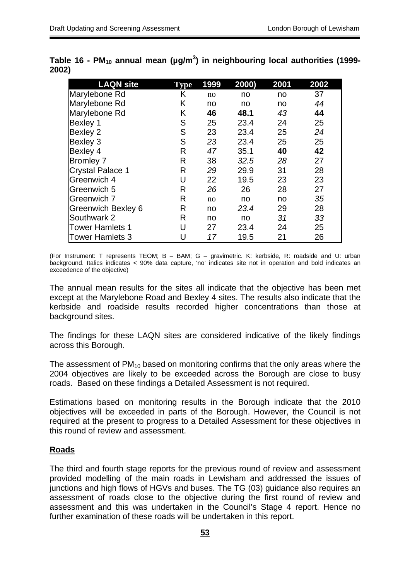| <b>LAQN site</b>        | Type | 1999 | 2000) | 2001 | 2002 |
|-------------------------|------|------|-------|------|------|
| Marylebone Rd           | K    | no   | no    | no   | 37   |
| Marylebone Rd           | Κ    | no   | no    | no   | 44   |
| Marylebone Rd           | Κ    | 46   | 48.1  | 43   | 44   |
| <b>Bexley 1</b>         | S    | 25   | 23.4  | 24   | 25   |
| <b>Bexley 2</b>         | S    | 23   | 23.4  | 25   | 24   |
| <b>Bexley 3</b>         | S    | 23   | 23.4  | 25   | 25   |
| Bexley 4                | R    | 47   | 35.1  | 40   | 42   |
| <b>Bromley 7</b>        | R    | 38   | 32.5  | 28   | 27   |
| <b>Crystal Palace 1</b> | R    | 29   | 29.9  | 31   | 28   |
| Greenwich 4             | U    | 22   | 19.5  | 23   | 23   |
| Greenwich 5             | R    | 26   | 26    | 28   | 27   |
| Greenwich 7             | R    | no   | no    | no   | 35   |
| Greenwich Bexley 6      | R    | no   | 23.4  | 29   | 28   |
| Southwark 2             | R    | no   | no    | 31   | 33   |
| <b>Tower Hamlets 1</b>  | U    | 27   | 23.4  | 24   | 25   |
| <b>Tower Hamlets 3</b>  | U    | 17   | 19.5  | 21   | 26   |

|       | Table 16 - PM <sub>10</sub> annual mean (µg/m <sup>3</sup> ) in neighbouring local authorities (1999- |  |  |
|-------|-------------------------------------------------------------------------------------------------------|--|--|
| 2002) |                                                                                                       |  |  |

(For Instrument: T represents TEOM; B – BAM; G – gravimetric. K: kerbside, R: roadside and U: urban background. Italics indicates < 90% data capture, 'no' indicates site not in operation and bold indicates an exceedence of the objective)

The annual mean results for the sites all indicate that the objective has been met except at the Marylebone Road and Bexley 4 sites. The results also indicate that the kerbside and roadside results recorded higher concentrations than those at background sites.

The findings for these LAQN sites are considered indicative of the likely findings across this Borough.

The assessment of  $PM_{10}$  based on monitoring confirms that the only areas where the 2004 objectives are likely to be exceeded across the Borough are close to busy roads. Based on these findings a Detailed Assessment is not required.

Estimations based on monitoring results in the Borough indicate that the 2010 objectives will be exceeded in parts of the Borough. However, the Council is not required at the present to progress to a Detailed Assessment for these objectives in this round of review and assessment.

### **Roads**

The third and fourth stage reports for the previous round of review and assessment provided modelling of the main roads in Lewisham and addressed the issues of junctions and high flows of HGVs and buses. The TG (03) guidance also requires an assessment of roads close to the objective during the first round of review and assessment and this was undertaken in the Council's Stage 4 report. Hence no further examination of these roads will be undertaken in this report.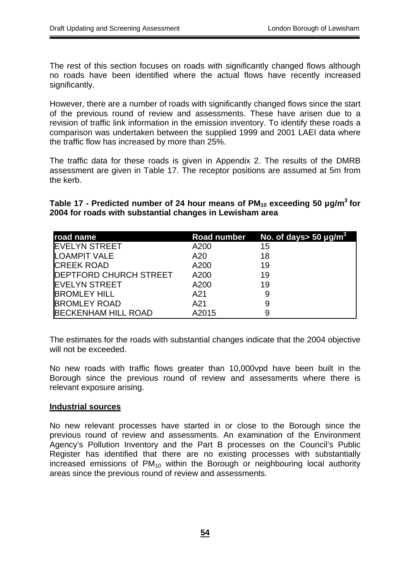The rest of this section focuses on roads with significantly changed flows although no roads have been identified where the actual flows have recently increased significantly.

However, there are a number of roads with significantly changed flows since the start of the previous round of review and assessments. These have arisen due to a revision of traffic link information in the emission inventory. To identify these roads a comparison was undertaken between the supplied 1999 and 2001 LAEI data where the traffic flow has increased by more than 25%.

The traffic data for these roads is given in Appendix 2. The results of the DMRB assessment are given in Table 17. The receptor positions are assumed at 5m from the kerb.

Table 17 - Predicted number of 24 hour means of PM<sub>10</sub> exceeding 50 µg/m<sup>3</sup> for **2004 for roads with substantial changes in Lewisham area** 

| road name                      |       | Road number No. of days> 50 $\mu$ g/m <sup>3</sup> |
|--------------------------------|-------|----------------------------------------------------|
| <b>EVELYN STREET</b>           | A200  | 15                                                 |
| <b>LOAMPIT VALE</b>            | A20   | 18                                                 |
| <b>CREEK ROAD</b>              | A200  | 19                                                 |
| <b>IDEPTFORD CHURCH STREET</b> | A200  | 19                                                 |
| <b>IEVELYN STREET</b>          | A200  | 19                                                 |
| <b>BROMLEY HILL</b>            | A21   |                                                    |
| <b>BROMLEY ROAD</b>            | A21   |                                                    |
| <b>BECKENHAM HILL ROAD</b>     | A2015 |                                                    |

The estimates for the roads with substantial changes indicate that the 2004 objective will not be exceeded.

No new roads with traffic flows greater than 10,000vpd have been built in the Borough since the previous round of review and assessments where there is relevant exposure arising.

#### **Industrial sources**

No new relevant processes have started in or close to the Borough since the previous round of review and assessments. An examination of the Environment Agency's Pollution Inventory and the Part B processes on the Council's Public Register has identified that there are no existing processes with substantially increased emissions of  $PM_{10}$  within the Borough or neighbouring local authority areas since the previous round of review and assessments.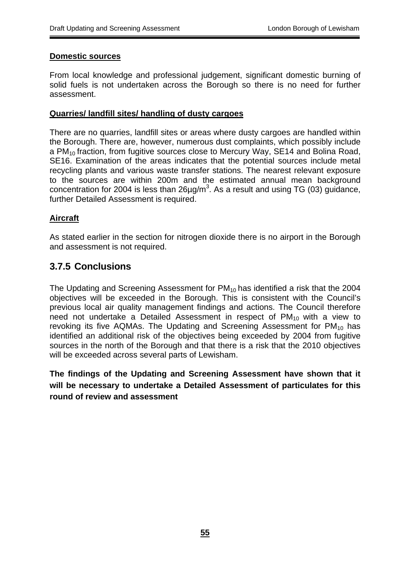#### **Domestic sources**

From local knowledge and professional judgement, significant domestic burning of solid fuels is not undertaken across the Borough so there is no need for further assessment.

#### **Quarries/ landfill sites/ handling of dusty cargoes**

There are no quarries, landfill sites or areas where dusty cargoes are handled within the Borough. There are, however, numerous dust complaints, which possibly include a PM<sub>10</sub> fraction, from fugitive sources close to Mercury Way, SE14 and Bolina Road, SE16. Examination of the areas indicates that the potential sources include metal recycling plants and various waste transfer stations. The nearest relevant exposure to the sources are within 200m and the estimated annual mean background concentration for 2004 is less than 26 $\mu$ g/m<sup>3</sup>. As a result and using TG (03) guidance, further Detailed Assessment is required.

### **Aircraft**

As stated earlier in the section for nitrogen dioxide there is no airport in the Borough and assessment is not required.

## **3.7.5 Conclusions**

The Updating and Screening Assessment for PM<sub>10</sub> has identified a risk that the 2004 objectives will be exceeded in the Borough. This is consistent with the Council's previous local air quality management findings and actions. The Council therefore need not undertake a Detailed Assessment in respect of  $PM_{10}$  with a view to revoking its five AQMAs. The Updating and Screening Assessment for  $PM_{10}$  has identified an additional risk of the objectives being exceeded by 2004 from fugitive sources in the north of the Borough and that there is a risk that the 2010 objectives will be exceeded across several parts of Lewisham.

**The findings of the Updating and Screening Assessment have shown that it will be necessary to undertake a Detailed Assessment of particulates for this round of review and assessment**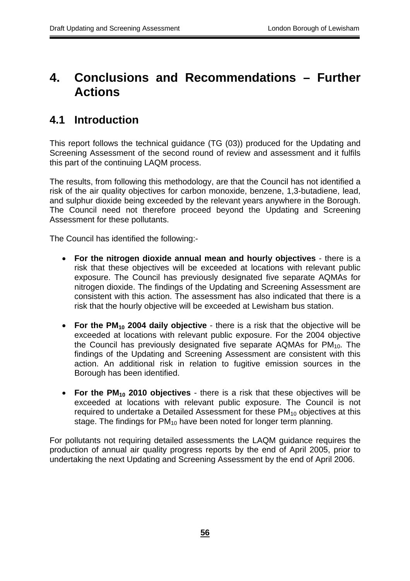## **4. Conclusions and Recommendations – Further Actions**

## **4.1 Introduction**

This report follows the technical guidance (TG (03)) produced for the Updating and Screening Assessment of the second round of review and assessment and it fulfils this part of the continuing LAQM process.

The results, from following this methodology, are that the Council has not identified a risk of the air quality objectives for carbon monoxide, benzene, 1,3-butadiene, lead, and sulphur dioxide being exceeded by the relevant years anywhere in the Borough. The Council need not therefore proceed beyond the Updating and Screening Assessment for these pollutants.

The Council has identified the following:-

- **For the nitrogen dioxide annual mean and hourly objectives** there is a risk that these objectives will be exceeded at locations with relevant public exposure. The Council has previously designated five separate AQMAs for nitrogen dioxide. The findings of the Updating and Screening Assessment are consistent with this action. The assessment has also indicated that there is a risk that the hourly objective will be exceeded at Lewisham bus station.
- **For the PM<sub>10</sub> 2004 daily objective** there is a risk that the objective will be exceeded at locations with relevant public exposure. For the 2004 objective the Council has previously designated five separate AQMAs for  $PM_{10}$ . The findings of the Updating and Screening Assessment are consistent with this action. An additional risk in relation to fugitive emission sources in the Borough has been identified.
- **For the PM<sub>10</sub> 2010 objectives** there is a risk that these objectives will be exceeded at locations with relevant public exposure. The Council is not required to undertake a Detailed Assessment for these PM<sub>10</sub> objectives at this stage. The findings for  $PM_{10}$  have been noted for longer term planning.

For pollutants not requiring detailed assessments the LAQM guidance requires the production of annual air quality progress reports by the end of April 2005, prior to undertaking the next Updating and Screening Assessment by the end of April 2006.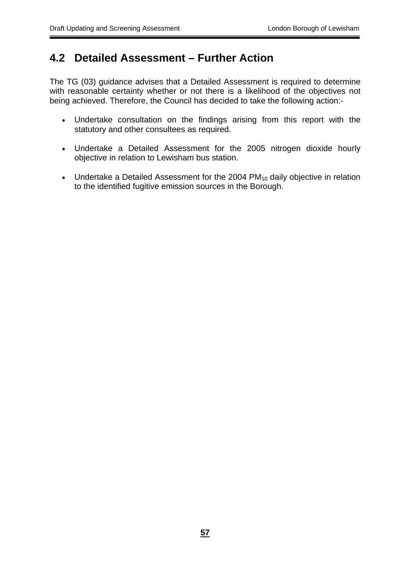## **4.2 Detailed Assessment – Further Action**

The TG (03) guidance advises that a Detailed Assessment is required to determine with reasonable certainty whether or not there is a likelihood of the objectives not being achieved. Therefore, the Council has decided to take the following action:-

- Undertake consultation on the findings arising from this report with the statutory and other consultees as required.
- Undertake a Detailed Assessment for the 2005 nitrogen dioxide hourly objective in relation to Lewisham bus station.
- Undertake a Detailed Assessment for the 2004  $PM_{10}$  daily objective in relation to the identified fugitive emission sources in the Borough.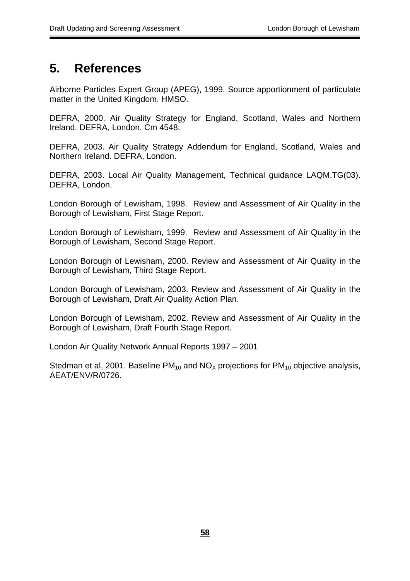## **5. References**

Airborne Particles Expert Group (APEG), 1999. Source apportionment of particulate matter in the United Kingdom. HMSO.

DEFRA, 2000. Air Quality Strategy for England, Scotland, Wales and Northern Ireland. DEFRA, London. Cm 4548.

DEFRA, 2003. Air Quality Strategy Addendum for England, Scotland, Wales and Northern Ireland. DEFRA, London.

DEFRA, 2003. Local Air Quality Management, Technical guidance LAQM.TG(03). DEFRA, London.

London Borough of Lewisham, 1998. Review and Assessment of Air Quality in the Borough of Lewisham, First Stage Report.

London Borough of Lewisham, 1999. Review and Assessment of Air Quality in the Borough of Lewisham, Second Stage Report.

London Borough of Lewisham, 2000. Review and Assessment of Air Quality in the Borough of Lewisham, Third Stage Report.

London Borough of Lewisham, 2003. Review and Assessment of Air Quality in the Borough of Lewisham, Draft Air Quality Action Plan.

London Borough of Lewisham, 2002. Review and Assessment of Air Quality in the Borough of Lewisham, Draft Fourth Stage Report.

London Air Quality Network Annual Reports 1997 – 2001

Stedman et al, 2001. Baseline  $PM_{10}$  and  $NO_x$  projections for  $PM_{10}$  objective analysis, AEAT/ENV/R/0726.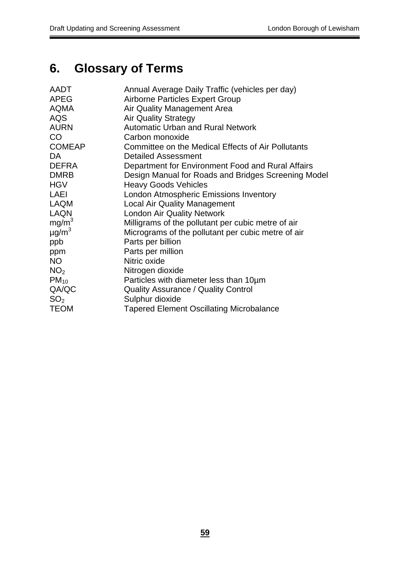# **6. Glossary of Terms**

| AADT                   | Annual Average Daily Traffic (vehicles per day)     |
|------------------------|-----------------------------------------------------|
| <b>APEG</b>            | <b>Airborne Particles Expert Group</b>              |
| <b>AQMA</b>            | Air Quality Management Area                         |
| <b>AQS</b>             | <b>Air Quality Strategy</b>                         |
| <b>AURN</b>            | <b>Automatic Urban and Rural Network</b>            |
| CO                     | Carbon monoxide                                     |
| <b>COMEAP</b>          | Committee on the Medical Effects of Air Pollutants  |
| DA.                    | <b>Detailed Assessment</b>                          |
| <b>DEFRA</b>           | Department for Environment Food and Rural Affairs   |
| <b>DMRB</b>            | Design Manual for Roads and Bridges Screening Model |
| <b>HGV</b>             | <b>Heavy Goods Vehicles</b>                         |
| LAEI                   | London Atmospheric Emissions Inventory              |
| <b>LAQM</b>            | <b>Local Air Quality Management</b>                 |
| <b>LAQN</b>            | <b>London Air Quality Network</b>                   |
| mg/m <sup>3</sup>      | Milligrams of the pollutant per cubic metre of air  |
| $\mu$ g/m <sup>3</sup> | Micrograms of the pollutant per cubic metre of air  |
| ppb                    | Parts per billion                                   |
| ppm                    | Parts per million                                   |
| NO                     | Nitric oxide                                        |
| NO <sub>2</sub>        | Nitrogen dioxide                                    |
| $PM_{10}$              | Particles with diameter less than 10um              |
| QA/QC                  | <b>Quality Assurance / Quality Control</b>          |
| SO <sub>2</sub>        | Sulphur dioxide                                     |
| <b>TEOM</b>            | <b>Tapered Element Oscillating Microbalance</b>     |
|                        |                                                     |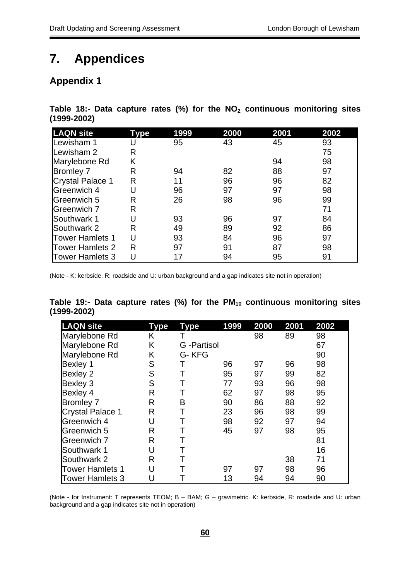# **7. Appendices**

## **Appendix 1**

Table 18:- Data capture rates (%) for the NO<sub>2</sub> continuous monitoring sites **(1999-2002)** 

| <b>LAQN site</b>        | Tvpe | 1999 | 2000 | 2001 | 2002 |
|-------------------------|------|------|------|------|------|
| Lewisham 1              |      | 95   | 43   | 45   | 93   |
| Lewisham 2              | R    |      |      |      | 75   |
| Marylebone Rd           | K    |      |      | 94   | 98   |
| <b>Bromley 7</b>        | R    | 94   | 82   | 88   | 97   |
| <b>Crystal Palace 1</b> | R    | 11   | 96   | 96   | 82   |
| Greenwich 4             | U    | 96   | 97   | 97   | 98   |
| Greenwich 5             | R    | 26   | 98   | 96   | 99   |
| Greenwich 7             | R    |      |      |      | 71   |
| Southwark 1             |      | 93   | 96   | 97   | 84   |
| Southwark 2             | R    | 49   | 89   | 92   | 86   |
| <b>Tower Hamlets 1</b>  | U    | 93   | 84   | 96   | 97   |
| <b>Tower Hamlets 2</b>  | R    | 97   | 91   | 87   | 98   |
| Tower Hamlets 3         |      |      | 94   | 95   | 91   |

(Note - K: kerbside, R: roadside and U: urban background and a gap indicates site not in operation)

|                 |  |  |  |  | Table 19:- Data capture rates (%) for the $PM_{10}$ continuous monitoring sites |  |
|-----------------|--|--|--|--|---------------------------------------------------------------------------------|--|
| $(1999 - 2002)$ |  |  |  |  |                                                                                 |  |

| <b>LAQN</b> site        | Type | <b>Type</b> | 1999 | 2000 | 2001 | 2002 |
|-------------------------|------|-------------|------|------|------|------|
| Marylebone Rd           | Κ    |             |      | 98   | 89   | 98   |
| Marylebone Rd           | Κ    | G -Partisol |      |      |      | 67   |
| Marylebone Rd           | K    | G-KFG       |      |      |      | 90   |
| <b>Bexley 1</b>         | S    |             | 96   | 97   | 96   | 98   |
| Bexley 2                | S    |             | 95   | 97   | 99   | 82   |
| Bexley 3                | S    |             | 77   | 93   | 96   | 98   |
| Bexley 4                | R    |             | 62   | 97   | 98   | 95   |
| <b>Bromley 7</b>        | R    | B           | 90   | 86   | 88   | 92   |
| <b>Crystal Palace 1</b> | R    |             | 23   | 96   | 98   | 99   |
| Greenwich 4             | U    |             | 98   | 92   | 97   | 94   |
| Greenwich 5             | R    |             | 45   | 97   | 98   | 95   |
| Greenwich 7             | R    |             |      |      |      | 81   |
| Southwark 1             | U    | Т           |      |      |      | 16   |
| Southwark 2             | R    |             |      |      | 38   | 71   |
| <b>Tower Hamlets 1</b>  | U    |             | 97   | 97   | 98   | 96   |
| <b>Tower Hamlets 3</b>  |      |             | 13   | 94   | 94   | 90   |

(Note - for Instrument: T represents TEOM; B – BAM; G – gravimetric. K: kerbside, R: roadside and U: urban background and a gap indicates site not in operation)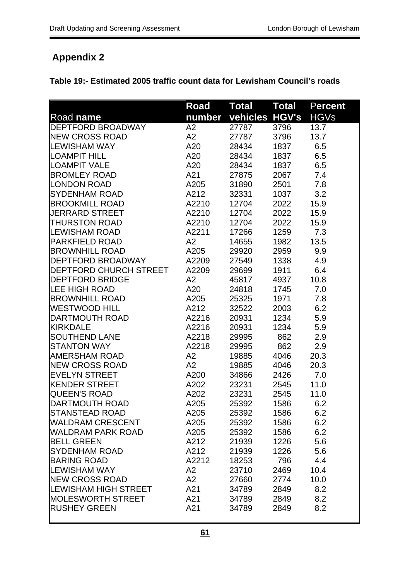# **Appendix 2**

|                             | <b>Road</b> | <b>Total</b> | Total        | <b>Percent</b> |
|-----------------------------|-------------|--------------|--------------|----------------|
| Road name                   | number      | vehicles     | <b>HGV's</b> | <b>HGVs</b>    |
| <b>DEPTFORD BROADWAY</b>    | A2          | 27787        | 3796         | 13.7           |
| <b>NEW CROSS ROAD</b>       | A2          | 27787        | 3796         | 13.7           |
| <b>LEWISHAM WAY</b>         | A20         | 28434        | 1837         | 6.5            |
| <b>LOAMPIT HILL</b>         | A20         | 28434        | 1837         | 6.5            |
| <b>LOAMPIT VALE</b>         | A20         | 28434        | 1837         | 6.5            |
| BROMLEY ROAD                | A21         | 27875        | 2067         | 7.4            |
| <b>LONDON ROAD</b>          | A205        | 31890        | 2501         | 7.8            |
| SYDENHAM ROAD               | A212        | 32331        | 1037         | 3.2            |
| <b>BROOKMILL ROAD</b>       | A2210       | 12704        | 2022         | 15.9           |
| <b>JERRARD STREET</b>       | A2210       | 12704        | 2022         | 15.9           |
| <b>THURSTON ROAD</b>        | A2210       | 12704        | 2022         | 15.9           |
| LEWISHAM ROAD               | A2211       | 17266        | 1259         | 7.3            |
| PARKFIELD ROAD              | A2          | 14655        | 1982         | 13.5           |
| <b>BROWNHILL ROAD</b>       | A205        | 29920        | 2959         | 9.9            |
| DEPTFORD BROADWAY           | A2209       | 27549        | 1338         | 4.9            |
| DEPTFORD CHURCH STREET      | A2209       | 29699        | 1911         | 6.4            |
| <b>IDEPTFORD BRIDGE</b>     | A2          | 45817        | 4937         | 10.8           |
| <b>LEE HIGH ROAD</b>        | A20         | 24818        | 1745         | 7.0            |
| <b>BROWNHILL ROAD</b>       | A205        | 25325        | 1971         | 7.8            |
| WESTWOOD HILL               | A212        | 32522        | 2003         | 6.2            |
| DARTMOUTH ROAD              | A2216       | 20931        | 1234         | 5.9            |
| <b>KIRKDALE</b>             | A2216       | 20931        | 1234         | 5.9            |
| <b>SOUTHEND LANE</b>        | A2218       | 29995        | 862          | 2.9            |
| <b>STANTON WAY</b>          | A2218       | 29995        | 862          | 2.9            |
| <b>AMERSHAM ROAD</b>        | A2          | 19885        | 4046         | 20.3           |
| <b>NEW CROSS ROAD</b>       | A2          | 19885        | 4046         | 20.3           |
| <b>EVELYN STREET</b>        | A200        | 34866        | 2426         | 7.0            |
| <b>KENDER STREET</b>        | A202        | 23231        | 2545         | 11.0           |
| <b>QUEEN'S ROAD</b>         | A202        | 23231        | 2545         | 11.0           |
| <b>DARTMOUTH ROAD</b>       | A205        | 25392        | 1586         | 6.2            |
| <b>STANSTEAD ROAD</b>       | A205        | 25392        | 1586         | 6.2            |
| <b>WALDRAM CRESCENT</b>     | A205        | 25392        | 1586         | 6.2            |
| <b>WALDRAM PARK ROAD</b>    | A205        | 25392        | 1586         | 6.2            |
| <b>BELL GREEN</b>           | A212        | 21939        | 1226         | 5.6            |
| <b>SYDENHAM ROAD</b>        | A212        | 21939        | 1226         | 5.6            |
| <b>BARING ROAD</b>          | A2212       | 18253        | 796          | 4.4            |
| <b>LEWISHAM WAY</b>         | A2          | 23710        | 2469         | 10.4           |
| <b>NEW CROSS ROAD</b>       | A2          | 27660        | 2774         | 10.0           |
| <b>LEWISHAM HIGH STREET</b> | A21         | 34789        | 2849         | 8.2            |
| <b>MOLESWORTH STREET</b>    | A21         | 34789        | 2849         | 8.2            |
| <b>RUSHEY GREEN</b>         | A21         | 34789        | 2849         | 8.2            |
|                             |             |              |              |                |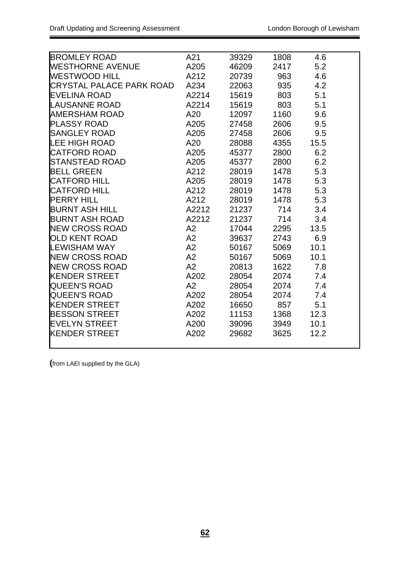| BROMLEY ROAD             | A21   | 39329 | 1808 | 4.6  |  |
|--------------------------|-------|-------|------|------|--|
| WESTHORNE AVENUE         | A205  | 46209 | 2417 | 5.2  |  |
| <b>WESTWOOD HILL</b>     | A212  | 20739 | 963  | 4.6  |  |
| CRYSTAL PALACE PARK ROAD | A234  | 22063 | 935  | 4.2  |  |
| <b>EVELINA ROAD</b>      | A2214 | 15619 | 803  | 5.1  |  |
| <b>LAUSANNE ROAD</b>     | A2214 | 15619 | 803  | 5.1  |  |
| AMERSHAM ROAD            | A20   | 12097 | 1160 | 9.6  |  |
| <b>PLASSY ROAD</b>       | A205  | 27458 | 2606 | 9.5  |  |
| <b>SANGLEY ROAD</b>      | A205  | 27458 | 2606 | 9.5  |  |
| <b>LEE HIGH ROAD</b>     | A20   | 28088 | 4355 | 15.5 |  |
| <b>CATFORD ROAD</b>      | A205  | 45377 | 2800 | 6.2  |  |
| STANSTEAD ROAD           | A205  | 45377 | 2800 | 6.2  |  |
| <b>BELL GREEN</b>        | A212  | 28019 | 1478 | 5.3  |  |
| <b>CATFORD HILL</b>      | A205  | 28019 | 1478 | 5.3  |  |
| <b>CATFORD HILL</b>      | A212  | 28019 | 1478 | 5.3  |  |
| <b>PERRY HILL</b>        | A212  | 28019 | 1478 | 5.3  |  |
| <b>BURNT ASH HILL</b>    | A2212 | 21237 | 714  | 3.4  |  |
| <b>BURNT ASH ROAD</b>    | A2212 | 21237 | 714  | 3.4  |  |
| <b>NEW CROSS ROAD</b>    | A2    | 17044 | 2295 | 13.5 |  |
| <b>OLD KENT ROAD</b>     | A2    | 39637 | 2743 | 6.9  |  |
| <b>LEWISHAM WAY</b>      | A2    | 50167 | 5069 | 10.1 |  |
| <b>NEW CROSS ROAD</b>    | A2    | 50167 | 5069 | 10.1 |  |
| <b>NEW CROSS ROAD</b>    | A2    | 20813 | 1622 | 7.8  |  |
| <b>KENDER STREET</b>     | A202  | 28054 | 2074 | 7.4  |  |
| <b>QUEEN'S ROAD</b>      | A2    | 28054 | 2074 | 7.4  |  |
| <b>QUEEN'S ROAD</b>      | A202  | 28054 | 2074 | 7.4  |  |
| <b>KENDER STREET</b>     | A202  | 16650 | 857  | 5.1  |  |
| <b>BESSON STREET</b>     | A202  | 11153 | 1368 | 12.3 |  |
| <b>EVELYN STREET</b>     | A200  | 39096 | 3949 | 10.1 |  |
| <b>KENDER STREET</b>     | A202  | 29682 | 3625 | 12.2 |  |
|                          |       |       |      |      |  |

**(**from LAEI supplied by the GLA)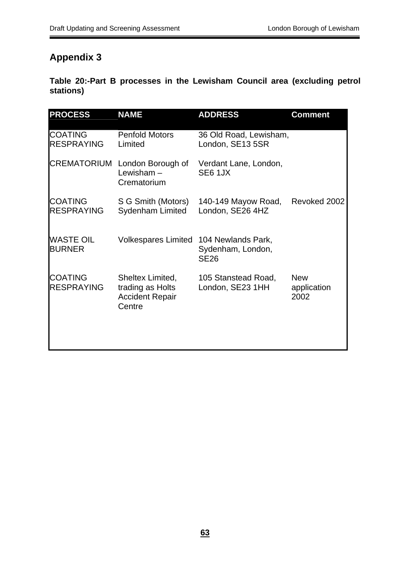## **Appendix 3**

**Table 20:-Part B processes in the Lewisham Council area (excluding petrol stations)** 

| <b>PROCESS</b>                      | <b>NAME</b>                                                              | <b>ADDRESS</b>                                         | <b>Comment</b>                    |
|-------------------------------------|--------------------------------------------------------------------------|--------------------------------------------------------|-----------------------------------|
| <b>COATING</b><br><b>RESPRAYING</b> | <b>Penfold Motors</b><br>Limited                                         | 36 Old Road, Lewisham,<br>London, SE13 5SR             |                                   |
|                                     | <b>CREMATORIUM</b> London Borough of<br>Lewisham $-$<br>Crematorium      | Verdant Lane, London,<br><b>SE6 1JX</b>                |                                   |
| <b>COATING</b><br><b>RESPRAYING</b> | S G Smith (Motors)<br><b>Sydenham Limited</b>                            | 140-149 Mayow Road,<br>London, SE26 4HZ                | Revoked 2002                      |
| <b>WASTE OIL</b><br><b>BURNER</b>   | Volkespares Limited                                                      | 104 Newlands Park,<br>Sydenham, London,<br><b>SE26</b> |                                   |
| <b>COATING</b><br><b>RESPRAYING</b> | Sheltex Limited,<br>trading as Holts<br><b>Accident Repair</b><br>Centre | 105 Stanstead Road,<br>London, SE23 1HH                | <b>New</b><br>application<br>2002 |